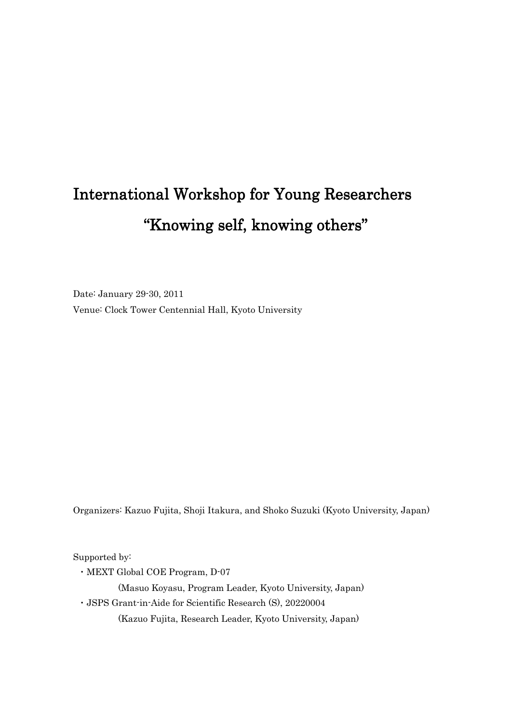# International Workshop for Young Researchers "Knowing self, knowing others"

Date: January 29-30, 2011 Venue: Clock Tower Centennial Hall, Kyoto University

Organizers: Kazuo Fujita, Shoji Itakura, and Shoko Suzuki (Kyoto University, Japan)

Supported by:

・MEXT Global COE Program, D-07

(Masuo Koyasu, Program Leader, Kyoto University, Japan)

・JSPS Grant-in-Aide for Scientific Research (S), 20220004

(Kazuo Fujita, Research Leader, Kyoto University, Japan)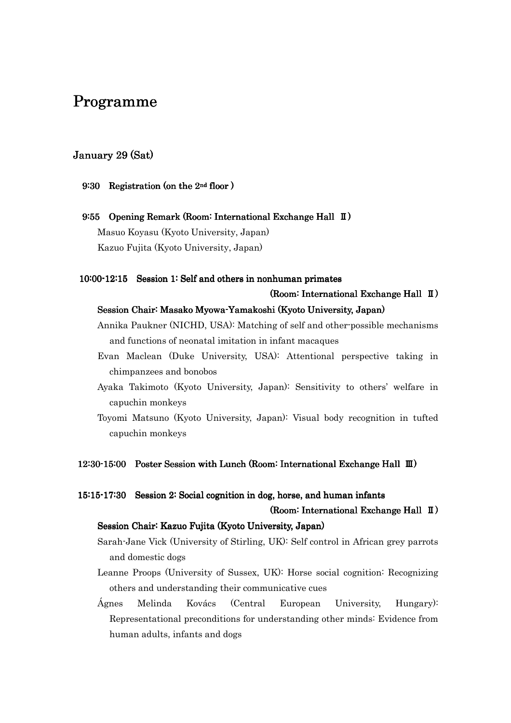# Programme

# January 29 (Sat)

### 9:30 Registration (on the  $2<sup>nd</sup>$  floor )

9:55 Opening Remark (Room: International Exchange Hall II) Masuo Koyasu (Kyoto University, Japan) Kazuo Fujita (Kyoto University, Japan)

### 10:00-12:15 Session 1: Self and others in nonhuman primates

### (Room: International Exchange Hall  $\text{I}$ )

### Session Chair: Masako Myowa-Yamakoshi (Kyoto University, Japan)

- Annika Paukner (NICHD, USA): Matching of self and other-possible mechanisms and functions of neonatal imitation in infant macaques
- Evan Maclean (Duke University, USA): Attentional perspective taking in chimpanzees and bonobos
- Ayaka Takimoto (Kyoto University, Japan): Sensitivity to others' welfare in capuchin monkeys
- Toyomi Matsuno (Kyoto University, Japan): Visual body recognition in tufted capuchin monkeys

## 12:30-15:00 Poster Session with Lunch (Room: International Exchange Hall  $\text{I\!I\!I}$ )

### 15:15-17:30 Session 2: Social cognition in dog, horse, and human infants

### (Room: International Exchange Hall  $\text{I}$ )

### Session Chair: Kazuo Fujita (Kyoto University, Japan)

- Sarah-Jane Vick (University of Stirling, UK): Self control in African grey parrots and domestic dogs
- Leanne Proops (University of Sussex, UK): Horse social cognition: Recognizing others and understanding their communicative cues
- Ágnes Melinda Kovács (Central European University, Hungary): Representational preconditions for understanding other minds: Evidence from human adults, infants and dogs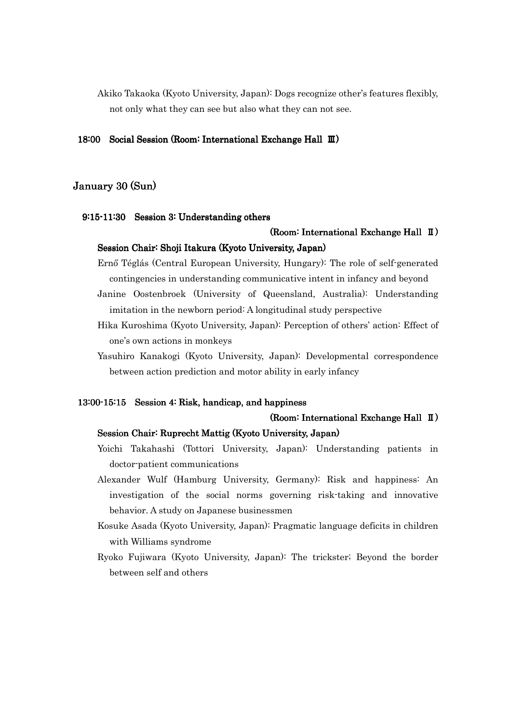Akiko Takaoka (Kyoto University, Japan): Dogs recognize other's features flexibly, not only what they can see but also what they can not see.

### 18:00 Social Session (Room: International Exchange Hall Ⅲ)

# January 30 (Sun)

### 9:15-11:30 Session 3: Understanding others

# (Room: International Exchange Hall  $\text{I}$ ) Session Chair: Shoji Itakura (Kyoto University, Japan)

Ernő Téglás (Central European University, Hungary): The role of self-generated contingencies in understanding communicative intent in infancy and beyond

- Janine Oostenbroek (University of Queensland, Australia): Understanding imitation in the newborn period: A longitudinal study perspective
- Hika Kuroshima (Kyoto University, Japan): Perception of others' action: Effect of one's own actions in monkeys
- Yasuhiro Kanakogi (Kyoto University, Japan): Developmental correspondence between action prediction and motor ability in early infancy

### 13:00-15:15 Session 4: Risk, handicap, and happiness

### (Room: International Exchange Hall  $\text{I}$ )

### Session Chair: Ruprecht Mattig (Kyoto University, Japan)

- Yoichi Takahashi (Tottori University, Japan): Understanding patients in doctor-patient communications
- Alexander Wulf (Hamburg University, Germany): Risk and happiness: An investigation of the social norms governing risk-taking and innovative behavior. A study on Japanese businessmen
- Kosuke Asada (Kyoto University, Japan): Pragmatic language deficits in children with Williams syndrome
- Ryoko Fujiwara (Kyoto University, Japan): The trickster; Beyond the border between self and others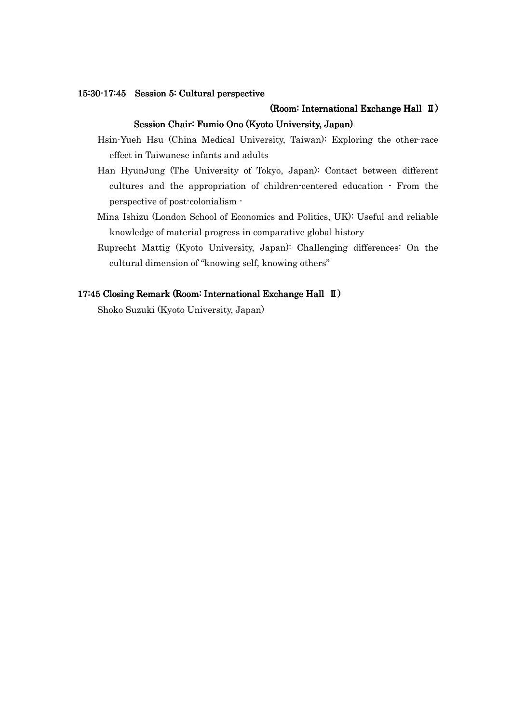### 15:30-17:45 Session 5: Cultural perspective

### (Room: International Exchange Hall  $\text{I}$ )

### Session Chair: Fumio Ono (Kyoto University, Japan)

- Hsin-Yueh Hsu (China Medical University, Taiwan): Exploring the other-race effect in Taiwanese infants and adults
- Han HyunJung (The University of Tokyo, Japan): Contact between different cultures and the appropriation of children-centered education - From the perspective of post-colonialism -
- Mina Ishizu (London School of Economics and Politics, UK): Useful and reliable knowledge of material progress in comparative global history
- Ruprecht Mattig (Kyoto University, Japan): Challenging differences: On the cultural dimension of "knowing self, knowing others"

### 17:45 Closing Remark (Room: International Exchange Hall II)

Shoko Suzuki (Kyoto University, Japan)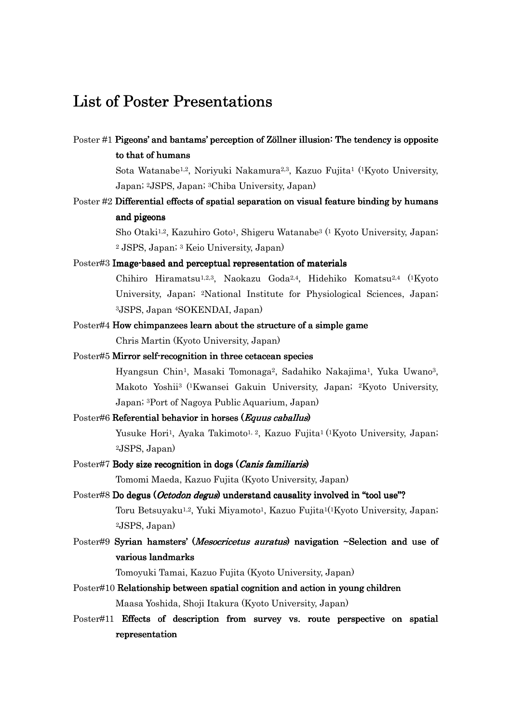# List of Poster Presentations

Poster #1 Pigeons' and bantams' perception of Zöllner illusion: The tendency is opposite to that of humans

> Sota Watanabe1,2, Noriyuki Nakamura2,3, Kazuo Fujita1 (1Kyoto University, Japan; 2JSPS, Japan; 3Chiba University, Japan)

Poster #2 Differential effects of spatial separation on visual feature binding by humans and pigeons

> Sho Otaki1,2, Kazuhiro Goto1, Shigeru Watanabe3 (1 Kyoto University, Japan; <sup>2</sup> JSPS, Japan; 3 Keio University, Japan)

Poster#3 Image-based and perceptual representation of materials

Chihiro Hiramatsu1,2,3, Naokazu Goda2,4, Hidehiko Komatsu2,4 (1Kyoto University, Japan; 2National Institute for Physiological Sciences, Japan; <sup>3</sup>JSPS, Japan 4SOKENDAI, Japan)

- Poster#4 How chimpanzees learn about the structure of a simple game Chris Martin (Kyoto University, Japan)
- Poster#5 Mirror self-recognition in three cetacean species

Hyangsun Chin1, Masaki Tomonaga2, Sadahiko Nakajima1, Yuka Uwano3, Makoto Yoshii3 ( <sup>1</sup>Kwansei Gakuin University, Japan; 2Kyoto University, Japan; 3Port of Nagoya Public Aquarium, Japan)

### Poster#6 Referential behavior in horses (Equus caballus)

Yusuke Hori<sup>1</sup>, Ayaka Takimoto<sup>1, 2</sup>, Kazuo Fujita<sup>1</sup> (<sup>1</sup>Kyoto University, Japan; <sup>2</sup>JSPS, Japan)

### Poster#7 Body size recognition in dogs (Canis familiaris)

Tomomi Maeda, Kazuo Fujita (Kyoto University, Japan)

Poster#8 Do degus (Octodon degus) understand causality involved in "tool use"?

Toru Betsuyaku1,2, Yuki Miyamoto1, Kazuo Fujita1( <sup>1</sup>Kyoto University, Japan; <sup>2</sup>JSPS, Japan)

Poster#9 Syrian hamsters' (*Mesocricetus auratus*) navigation ~Selection and use of various landmarks landmarks

Tomoyuki Tamai, Kazuo Fujita (Kyoto University, Japan)

- Poster#10 Relationship between spatial cognition and action in young children Maasa Yoshida, Shoji Itakura (Kyoto University, Japan)
- Poster#11 Effects of description from survey vs. route perspective on spatial representation representation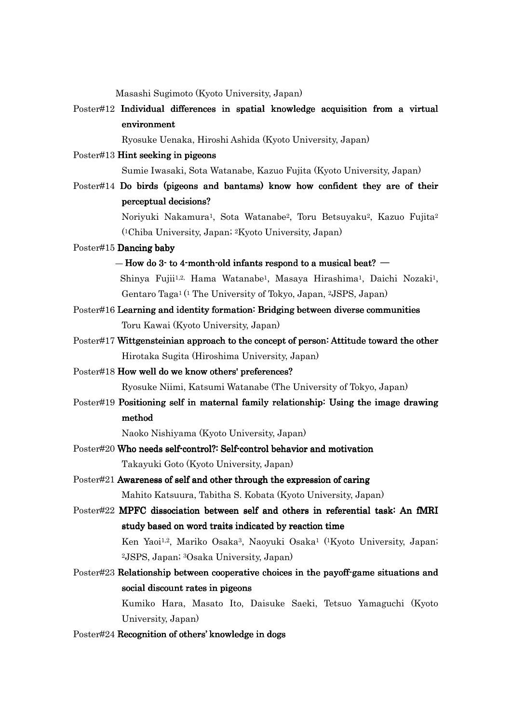Masashi Sugimoto (Kyoto University, Japan)

Poster#12 Individual differences in spatial knowledge acquisition from a virtual environment

Ryosuke Uenaka, Hiroshi Ashida (Kyoto University, Japan)

Poster#13 Hint seeking in pigeons

Sumie Iwasaki, Sota Watanabe, Kazuo Fujita (Kyoto University, Japan)

 $Poster#14$  Do birds (pigeons and bantams) know how confident they are of their perceptual decisions? perceptual decisions?

> Noriyuki Nakamura1, Sota Watanabe2, Toru Betsuyaku2, Kazuo Fujita<sup>2</sup> ( <sup>1</sup>Chiba University, Japan; 2Kyoto University, Japan)

### Poster#15 Dancing baby

 $-$  How do 3-to 4-month-old infants respond to a musical beat?  $-$ 

Shinya Fujii<sup>1,2,</sup> Hama Watanabe<sup>1</sup>, Masaya Hirashima<sup>1</sup>, Daichi Nozaki<sup>1</sup>, Gentaro Taga1 ( <sup>1</sup> The University of Tokyo, Japan, 2JSPS, Japan)

- Poster#16 Learning and identity formation: Bridging between diverse communities Toru Kawai (Kyoto University, Japan)
- Poster#17 Wittgensteinian approach to the concept of person: Attitude toward the other Hirotaka Sugita (Hiroshima University, Japan)
- Poster#18 How well do we know others' preferences?

Ryosuke Niimi, Katsumi Watanabe (The University of Tokyo, Japan)

Poster#19 Positioning self in maternal family relationship: Using the image drawing method

Naoko Nishiyama (Kyoto University, Japan)

- Poster#20 Who needs self-control?: Self-control behavior and motivation Takayuki Goto (Kyoto University, Japan)
- $Poster#21$  Awareness of self and other through the expression of caring Mahito Katsuura, Tabitha S. Kobata (Kyoto University, Japan)
- Poster#22 MPFC dissociation between self and others in referential task: An fMRI study based on word traits indicated by reaction time Ken Yaoi<sup>1,2</sup>, Mariko Osaka<sup>3</sup>, Naoyuki Osaka<sup>1 (1</sup>Kyoto University, Japan;

<sup>2</sup>JSPS, Japan; 3Osaka University, Japan)

Poster#23 Relationship between cooperative choices in the payoff-game situations and social discount rates in pigeons

Kumiko Hara, Masato Ito, Daisuke Saeki, Tetsuo Yamaguchi (Kyoto University, Japan)

Poster#24 Recognition of others' knowledge in dogs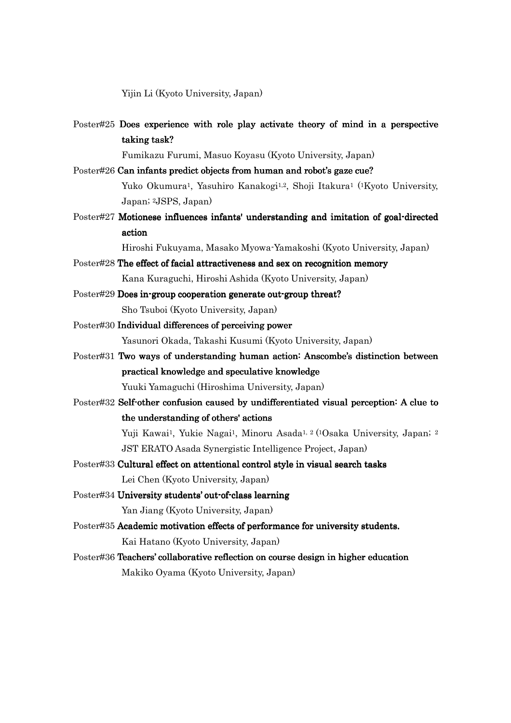Yijin Li (Kyoto University, Japan)

Poster#25 Does experience with role play activate theory of mind in a perspective taking task?

Fumikazu Furumi, Masuo Koyasu (Kyoto University, Japan)

- Poster#26 Can infants predict objects from human and robot's gaze cue? Yuko Okumura1, Yasuhiro Kanakogi1,2, Shoji Itakura1 (1Kyoto University, Japan; 2JSPS, Japan)
- Poster#27 Motionese influences infants' understanding and imitation of goal-directed action

Hiroshi Fukuyama, Masako Myowa-Yamakoshi (Kyoto University, Japan)

- Poster#28 The effect of facial attractiveness and sex on recognition memory Kana Kuraguchi, Hiroshi Ashida (Kyoto University, Japan)
- Poster#29 Does in-group cooperation generate out-group threat? Sho Tsuboi (Kyoto University, Japan)
- Poster#30 Individual differences of perceiving power Yasunori Okada, Takashi Kusumi (Kyoto University, Japan)
- Poster#31 Two ways of understanding human action: Anscombe's distinction between practical knowledge and speculative knowledge

Yuuki Yamaguchi (Hiroshima University, Japan)

Poster#32 Self-other confusion caused by undifferentiated visual perception: A clue to the understanding of others' actions

> Yuji Kawai<sup>1</sup>, Yukie Nagai<sup>1</sup>, Minoru Asada<sup>1, 2 (1</sup>Osaka University, Japan; <sup>2</sup> JST ERATO Asada Synergistic Intelligence Project, Japan)

- Poster#33 Cultural effect on attentional control style in visual search tasks Lei Chen (Kyoto University, Japan)
- Poster#34 University students' out-of-class learning Yan Jiang (Kyoto University, Japan)
- Poster#35 Academic motivation effects of performance for university students. Kai Hatano (Kyoto University, Japan)
- Poster#36 Teachers' collaborative reflection on course design in higher education Makiko Oyama (Kyoto University, Japan)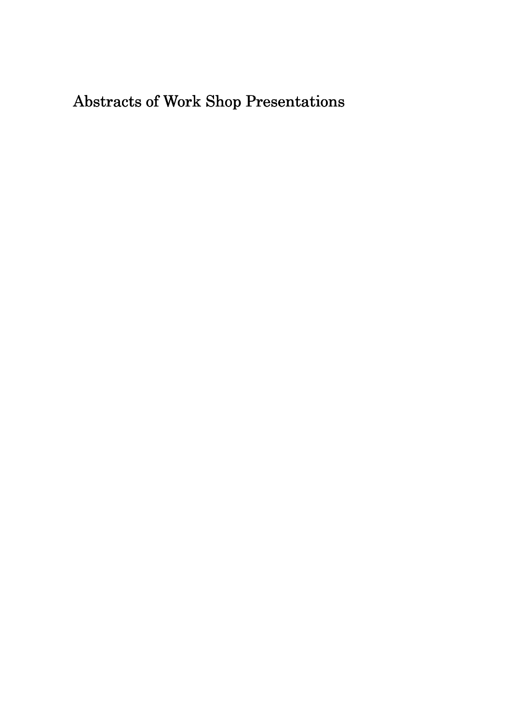# Abstracts of Work Shop Presentations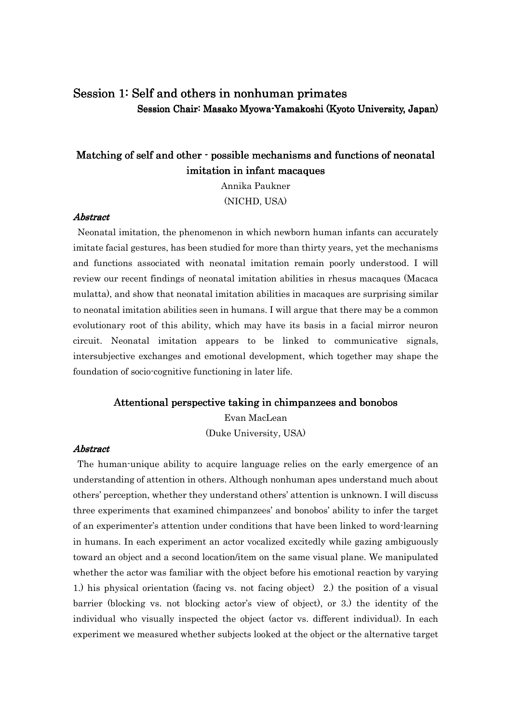# Session 1: Self and others in nonhuman primates Session Chair: Masako Myowa-Yamakoshi (Kyoto University, Japan)

# Matching of self and other - possible mechanisms and functions of neonatal imitation in infant macaques

Annika Paukner (NICHD, USA)

### **Abstract**

Neonatal imitation, the phenomenon in which newborn human infants can accurately imitate facial gestures, has been studied for more than thirty years, yet the mechanisms and functions associated with neonatal imitation remain poorly understood. I will review our recent findings of neonatal imitation abilities in rhesus macaques (Macaca mulatta), and show that neonatal imitation abilities in macaques are surprising similar to neonatal imitation abilities seen in humans. I will argue that there may be a common evolutionary root of this ability, which may have its basis in a facial mirror neuron circuit. Neonatal imitation appears to be linked to communicative signals, intersubjective exchanges and emotional development, which together may shape the foundation of socio-cognitive functioning in later life.

### Attentional perspective taking in chimpanzees and bonobos

Evan MacLean (Duke University, USA)

## **Abstract**

The human-unique ability to acquire language relies on the early emergence of an understanding of attention in others. Although nonhuman apes understand much about others' perception, whether they understand others' attention is unknown. I will discuss three experiments that examined chimpanzees' and bonobos' ability to infer the target of an experimenter's attention under conditions that have been linked to word-learning in humans. In each experiment an actor vocalized excitedly while gazing ambiguously toward an object and a second location/item on the same visual plane. We manipulated whether the actor was familiar with the object before his emotional reaction by varying 1.) his physical orientation (facing vs. not facing object) 2.) the position of a visual barrier (blocking vs. not blocking actor's view of object), or 3.) the identity of the individual who visually inspected the object (actor vs. different individual). In each experiment we measured whether subjects looked at the object or the alternative target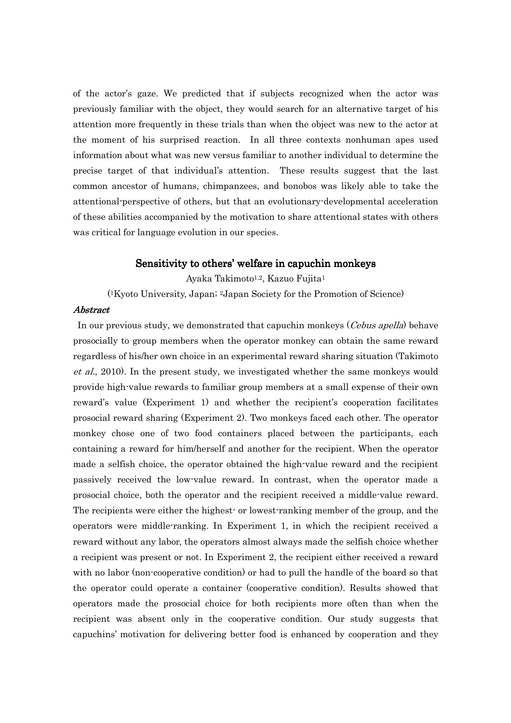of the actor's gaze. We predicted that if subjects recognized when the actor was previously familiar with the object, they would search for an alternative target of his attention more frequently in these trials than when the object was new to the actor at the moment of his surprised reaction. In all three contexts nonhuman apes used information about what was new versus familiar to another individual to determine the precise target of that individual's attention. These results suggest that the last common ancestor of humans, chimpanzees, and bonobos was likely able to take the attentional-perspective of others, but that an evolutionary-developmental acceleration of these abilities accompanied by the motivation to share attentional states with others was critical for language evolution in our species.

### Sensitivity to others' welfare in capuchin monkeys

Ayaka Takimoto<sup>1,2</sup>, Kazuo Fujita<sup>1</sup>

( <sup>1</sup>Kyoto University, Japan; 2Japan Society for the Promotion of Science)

### Abstract Abstract

In our previous study, we demonstrated that capuchin monkeys (*Cebus apella*) behave prosocially to group members when the operator monkey can obtain the same reward regardless of his/her own choice in an experimental reward sharing situation (Takimoto et al., 2010). In the present study, we investigated whether the same monkeys would provide high-value rewards to familiar group members at a small expense of their own reward's value (Experiment 1) and whether the recipient's cooperation facilitates prosocial reward sharing (Experiment 2). Two monkeys faced each other. The operator monkey chose one of two food containers placed between the participants, each containing a reward for him/herself and another for the recipient. When the operator made a selfish choice, the operator obtained the high-value reward and the recipient passively received the low-value reward. In contrast, when the operator made a prosocial choice, both the operator and the recipient received a middle-value reward. The recipients were either the highest- or lowest-ranking member of the group, and the operators were middle-ranking. In Experiment 1, in which the recipient received a reward without any labor, the operators almost always made the selfish choice whether a recipient was present or not. In Experiment 2, the recipient either received a reward with no labor (non-cooperative condition) or had to pull the handle of the board so that the operator could operate a container (cooperative condition). Results showed that operators made the prosocial choice for both recipients more often than when the recipient was absent only in the cooperative condition. Our study suggests that capuchins' motivation for delivering better food is enhanced by cooperation and they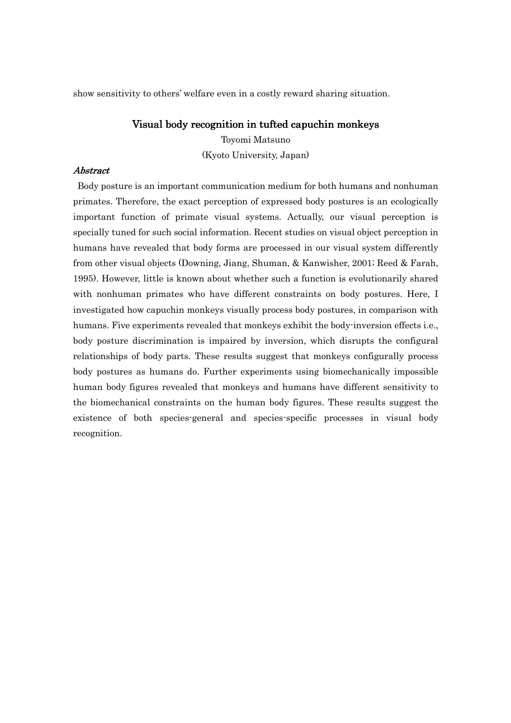show sensitivity to others' welfare even in a costly reward sharing situation.

### Visual body recognition in tufted capuchin monkeys

Toyomi Matsuno (Kyoto University, Japan)

### Abstract Abstract

 Body posture is an important communication medium for both humans and nonhuman primates. Therefore, the exact perception of expressed body postures is an ecologically important function of primate visual systems. Actually, our visual perception is specially tuned for such social information. Recent studies on visual object perception in humans have revealed that body forms are processed in our visual system differently from other visual objects (Downing, Jiang, Shuman, & Kanwisher, 2001; Reed & Farah, 1995). However, little is known about whether such a function is evolutionarily shared with nonhuman primates who have different constraints on body postures. Here, I investigated how capuchin monkeys visually process body postures, in comparison with humans. Five experiments revealed that monkeys exhibit the body-inversion effects i.e., body posture discrimination is impaired by inversion, which disrupts the configural relationships of body parts. These results suggest that monkeys configurally process body postures as humans do. Further experiments using biomechanically impossible human body figures revealed that monkeys and humans have different sensitivity to the biomechanical constraints on the human body figures. These results suggest the existence of both species-general and species-specific processes in visual body recognition.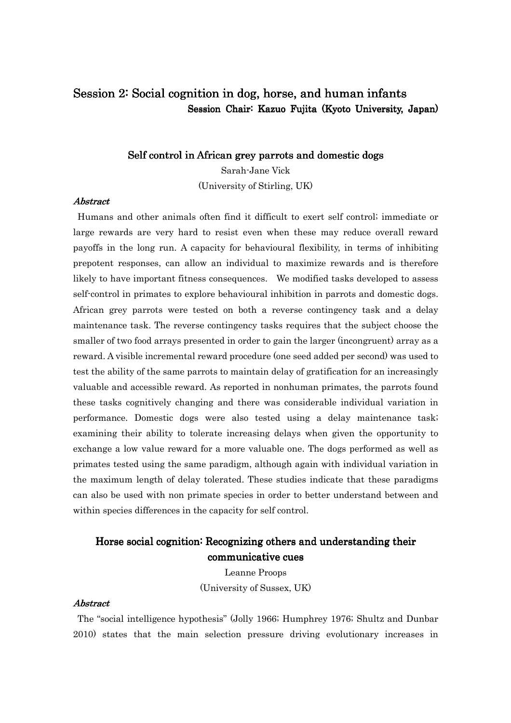# Session 2: Social cognition in dog, horse, and human infants Session Chair: Kazuo Fujita (Kyoto University, Japan)

# Self control in African grey parrots and domestic dogs

Sarah-Jane Vick (University of Stirling, UK)

# **Abstract**

Humans and other animals often find it difficult to exert self control; immediate or large rewards are very hard to resist even when these may reduce overall reward payoffs in the long run. A capacity for behavioural flexibility, in terms of inhibiting prepotent responses, can allow an individual to maximize rewards and is therefore likely to have important fitness consequences. We modified tasks developed to assess self-control in primates to explore behavioural inhibition in parrots and domestic dogs. African grey parrots were tested on both a reverse contingency task and a delay maintenance task. The reverse contingency tasks requires that the subject choose the smaller of two food arrays presented in order to gain the larger (incongruent) array as a reward. A visible incremental reward procedure (one seed added per second) was used to test the ability of the same parrots to maintain delay of gratification for an increasingly valuable and accessible reward. As reported in nonhuman primates, the parrots found these tasks cognitively changing and there was considerable individual variation in performance. Domestic dogs were also tested using a delay maintenance task; examining their ability to tolerate increasing delays when given the opportunity to exchange a low value reward for a more valuable one. The dogs performed as well as primates tested using the same paradigm, although again with individual variation in the maximum length of delay tolerated. These studies indicate that these paradigms can also be used with non primate species in order to better understand between and within species differences in the capacity for self control.

# Horse social cognition: Recognizing others and understanding their communicative cues

Leanne Proops (University of Sussex, UK)

### Abstract Abstract

The "social intelligence hypothesis" (Jolly 1966; Humphrey 1976; Shultz and Dunbar 2010) states that the main selection pressure driving evolutionary increases in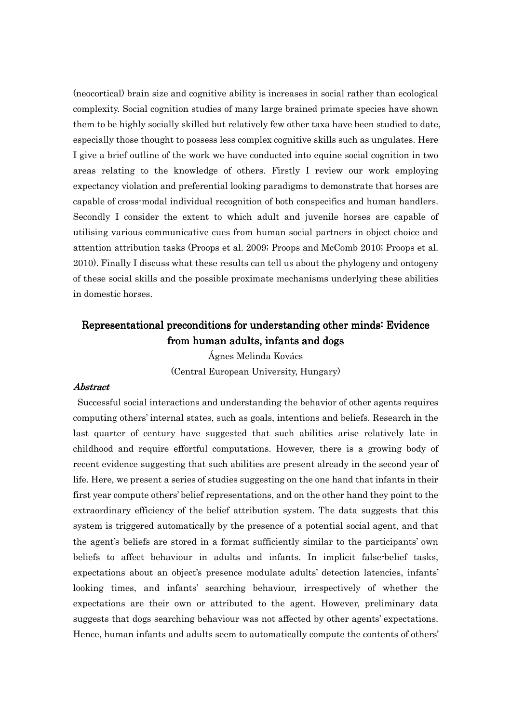(neocortical) brain size and cognitive ability is increases in social rather than ecological complexity. Social cognition studies of many large brained primate species have shown them to be highly socially skilled but relatively few other taxa have been studied to date, especially those thought to possess less complex cognitive skills such as ungulates. Here I give a brief outline of the work we have conducted into equine social cognition in two areas relating to the knowledge of others. Firstly I review our work employing expectancy violation and preferential looking paradigms to demonstrate that horses are capable of cross-modal individual recognition of both conspecifics and human handlers. Secondly I consider the extent to which adult and juvenile horses are capable of utilising various communicative cues from human social partners in object choice and attention attribution tasks (Proops et al. 2009; Proops and McComb 2010; Proops et al. 2010). Finally I discuss what these results can tell us about the phylogeny and ontogeny of these social skills and the possible proximate mechanisms underlying these abilities in domestic horses.

# Representational preconditions for understanding other minds: Evidence from human adults, infants and dogs

Ágnes Melinda Kovács (Central European University, Hungary)

### Abstract Abstract

Successful social interactions and understanding the behavior of other agents requires computing others' internal states, such as goals, intentions and beliefs. Research in the last quarter of century have suggested that such abilities arise relatively late in childhood and require effortful computations. However, there is a growing body of recent evidence suggesting that such abilities are present already in the second year of life. Here, we present a series of studies suggesting on the one hand that infants in their first year compute others' belief representations, and on the other hand they point to the extraordinary efficiency of the belief attribution system. The data suggests that this system is triggered automatically by the presence of a potential social agent, and that the agent's beliefs are stored in a format sufficiently similar to the participants' own beliefs to affect behaviour in adults and infants. In implicit false-belief tasks, expectations about an object's presence modulate adults' detection latencies, infants' looking times, and infants' searching behaviour, irrespectively of whether the expectations are their own or attributed to the agent. However, preliminary data suggests that dogs searching behaviour was not affected by other agents' expectations. Hence, human infants and adults seem to automatically compute the contents of others'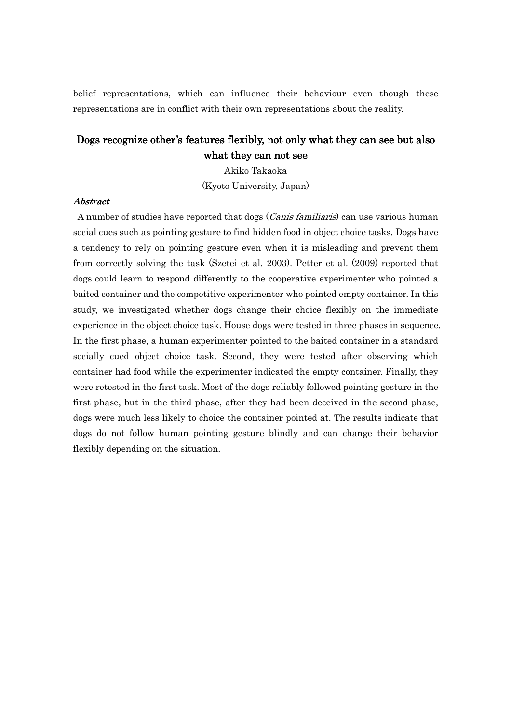belief representations, which can influence their behaviour even though these representations are in conflict with their own representations about the reality.

# Dogs recognize other's features flexibly, not only what they can see but also what they can not see

Akiko Takaoka (Kyoto University, Japan)

# **Abstract**

A number of studies have reported that dogs (Canis familiaris) can use various human social cues such as pointing gesture to find hidden food in object choice tasks. Dogs have a tendency to rely on pointing gesture even when it is misleading and prevent them from correctly solving the task (Szetei et al. 2003). Petter et al. (2009) reported that dogs could learn to respond differently to the cooperative experimenter who pointed a baited container and the competitive experimenter who pointed empty container. In this study, we investigated whether dogs change their choice flexibly on the immediate experience in the object choice task. House dogs were tested in three phases in sequence. In the first phase, a human experimenter pointed to the baited container in a standard socially cued object choice task. Second, they were tested after observing which container had food while the experimenter indicated the empty container. Finally, they were retested in the first task. Most of the dogs reliably followed pointing gesture in the first phase, but in the third phase, after they had been deceived in the second phase, dogs were much less likely to choice the container pointed at. The results indicate that dogs do not follow human pointing gesture blindly and can change their behavior flexibly depending on the situation.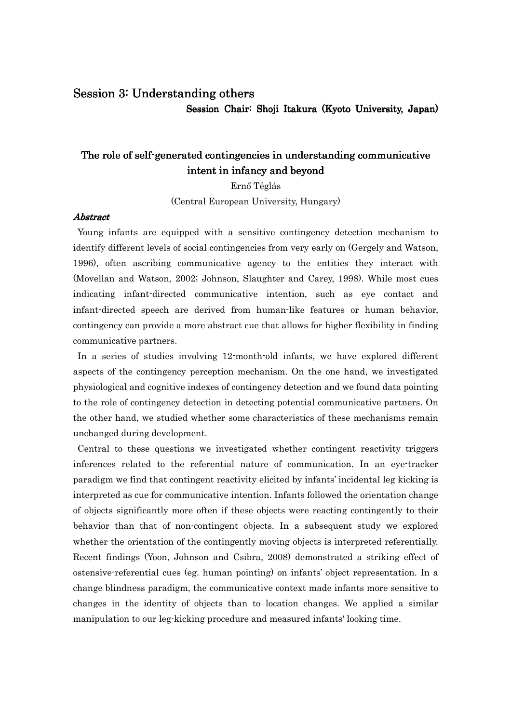# Session 3: Understanding others

Session Chair: Shoji Itakura (Kyoto University, Japan)

# The role of self-generated contingencies in understanding communicative intent in infancy and beyond

Ernő Téglás

(Central European University, Hungary)

### **Abstract**

Young infants are equipped with a sensitive contingency detection mechanism to identify different levels of social contingencies from very early on (Gergely and Watson, 1996), often ascribing communicative agency to the entities they interact with (Movellan and Watson, 2002; Johnson, Slaughter and Carey, 1998). While most cues indicating infant-directed communicative intention, such as eye contact and infant-directed speech are derived from human-like features or human behavior, contingency can provide a more abstract cue that allows for higher flexibility in finding communicative partners.

In a series of studies involving 12-month-old infants, we have explored different aspects of the contingency perception mechanism. On the one hand, we investigated physiological and cognitive indexes of contingency detection and we found data pointing to the role of contingency detection in detecting potential communicative partners. On the other hand, we studied whether some characteristics of these mechanisms remain unchanged during development.

Central to these questions we investigated whether contingent reactivity triggers inferences related to the referential nature of communication. In an eye-tracker paradigm we find that contingent reactivity elicited by infants' incidental leg kicking is interpreted as cue for communicative intention. Infants followed the orientation change of objects significantly more often if these objects were reacting contingently to their behavior than that of non-contingent objects. In a subsequent study we explored whether the orientation of the contingently moving objects is interpreted referentially. Recent findings (Yoon, Johnson and Csibra, 2008) demonstrated a striking effect of ostensive-referential cues (eg. human pointing) on infants' object representation. In a change blindness paradigm, the communicative context made infants more sensitive to changes in the identity of objects than to location changes. We applied a similar manipulation to our leg-kicking procedure and measured infants' looking time.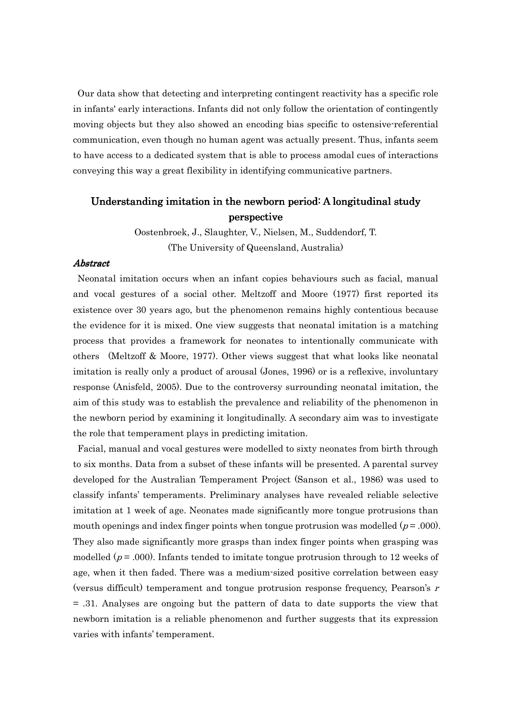Our data show that detecting and interpreting contingent reactivity has a specific role in infants' early interactions. Infants did not only follow the orientation of contingently moving objects but they also showed an encoding bias specific to ostensive-referential communication, even though no human agent was actually present. Thus, infants seem to have access to a dedicated system that is able to process amodal cues of interactions conveying this way a great flexibility in identifying communicative partners.

# Understanding imitation in the newborn period: A longitudinal study perspective

Oostenbroek, J., Slaughter, V., Nielsen, M., Suddendorf, T. (The University of Queensland, Australia)

### Abstract Abstract

Neonatal imitation occurs when an infant copies behaviours such as facial, manual and vocal gestures of a social other. Meltzoff and Moore (1977) first reported its existence over 30 years ago, but the phenomenon remains highly contentious because the evidence for it is mixed. One view suggests that neonatal imitation is a matching process that provides a framework for neonates to intentionally communicate with others (Meltzoff & Moore, 1977). Other views suggest that what looks like neonatal imitation is really only a product of arousal (Jones, 1996) or is a reflexive, involuntary response (Anisfeld, 2005). Due to the controversy surrounding neonatal imitation, the aim of this study was to establish the prevalence and reliability of the phenomenon in the newborn period by examining it longitudinally. A secondary aim was to investigate the role that temperament plays in predicting imitation.

Facial, manual and vocal gestures were modelled to sixty neonates from birth through to six months. Data from a subset of these infants will be presented. A parental survey developed for the Australian Temperament Project (Sanson et al., 1986) was used to classify infants' temperaments. Preliminary analyses have revealed reliable selective imitation at 1 week of age. Neonates made significantly more tongue protrusions than mouth openings and index finger points when tongue protrusion was modelled  $(p = .000)$ . They also made significantly more grasps than index finger points when grasping was modelled ( $p = .000$ ). Infants tended to imitate tongue protrusion through to 12 weeks of age, when it then faded. There was a medium-sized positive correlation between easy (versus difficult) temperament and tongue protrusion response frequency, Pearson's  $r$ = .31. Analyses are ongoing but the pattern of data to date supports the view that newborn imitation is a reliable phenomenon and further suggests that its expression varies with infants' temperament.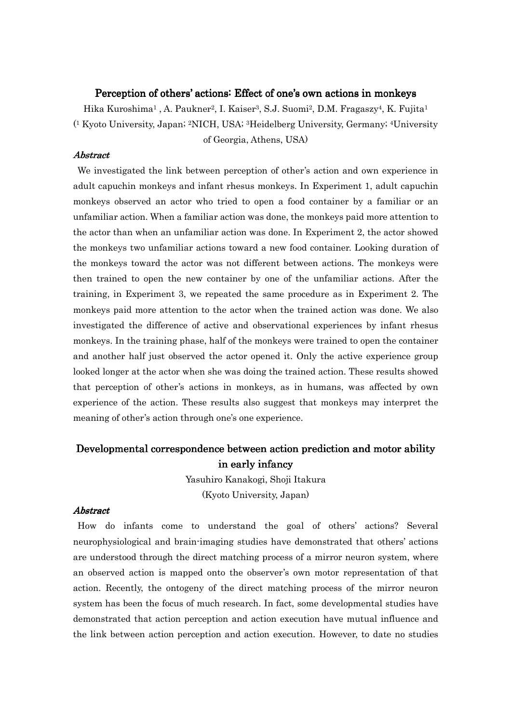### Perception of others' actions: Effect of one's own actions in monkeys

Hika Kuroshima1 , A. Paukner2, I. Kaiser3, S.J. Suomi2, D.M. Fragaszy4, K. Fujita<sup>1</sup> ( <sup>1</sup> Kyoto University, Japan; 2NICH, USA; 3Heidelberg University, Germany; 4University of Georgia, Athens, USA)

# Abstract Abstract

We investigated the link between perception of other's action and own experience in adult capuchin monkeys and infant rhesus monkeys. In Experiment 1, adult capuchin monkeys observed an actor who tried to open a food container by a familiar or an unfamiliar action. When a familiar action was done, the monkeys paid more attention to the actor than when an unfamiliar action was done. In Experiment 2, the actor showed the monkeys two unfamiliar actions toward a new food container. Looking duration of the monkeys toward the actor was not different between actions. The monkeys were then trained to open the new container by one of the unfamiliar actions. After the training, in Experiment 3, we repeated the same procedure as in Experiment 2. The monkeys paid more attention to the actor when the trained action was done. We also investigated the difference of active and observational experiences by infant rhesus monkeys. In the training phase, half of the monkeys were trained to open the container and another half just observed the actor opened it. Only the active experience group looked longer at the actor when she was doing the trained action. These results showed that perception of other's actions in monkeys, as in humans, was affected by own experience of the action. These results also suggest that monkeys may interpret the meaning of other's action through one's one experience.

# Developmental correspondence between action prediction and motor ability in early infancy

Yasuhiro Kanakogi, Shoji Itakura (Kyoto University, Japan)

### **Abstract**

How do infants come to understand the goal of others' actions? Several neurophysiological and brain-imaging studies have demonstrated that others' actions are understood through the direct matching process of a mirror neuron system, where an observed action is mapped onto the observer's own motor representation of that action. Recently, the ontogeny of the direct matching process of the mirror neuron system has been the focus of much research. In fact, some developmental studies have demonstrated that action perception and action execution have mutual influence and the link between action perception and action execution. However, to date no studies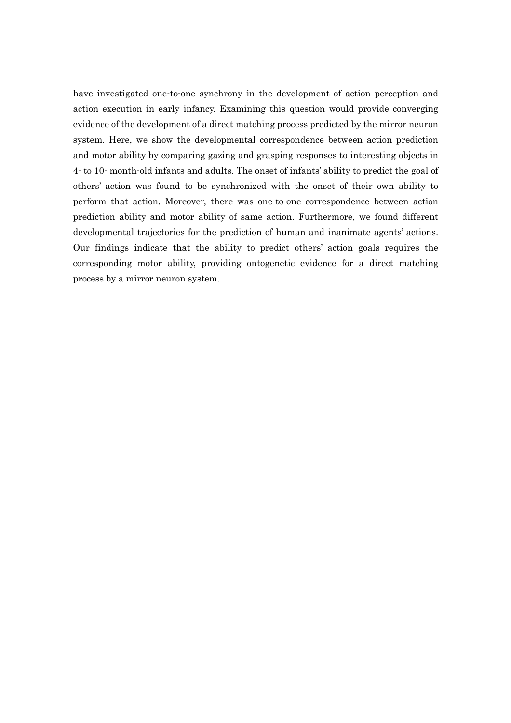have investigated one-to-one synchrony in the development of action perception and action execution in early infancy. Examining this question would provide converging evidence of the development of a direct matching process predicted by the mirror neuron system. Here, we show the developmental correspondence between action prediction and motor ability by comparing gazing and grasping responses to interesting objects in 4- to 10- month-old infants and adults. The onset of infants' ability to predict the goal of others' action was found to be synchronized with the onset of their own ability to perform that action. Moreover, there was one-to-one correspondence between action prediction ability and motor ability of same action. Furthermore, we found different developmental trajectories for the prediction of human and inanimate agents' actions. Our findings indicate that the ability to predict others' action goals requires the corresponding motor ability, providing ontogenetic evidence for a direct matching process by a mirror neuron system.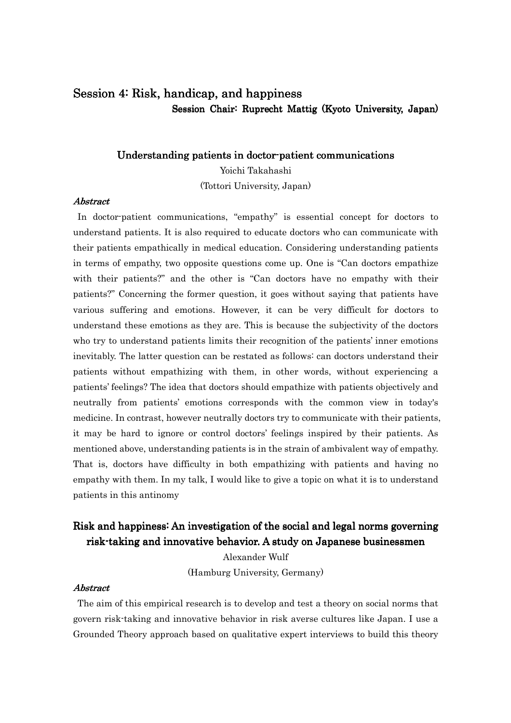# Session 4: Risk, handicap, and happiness Session Chair: Ruprecht Mattig (Kyoto University, Japan)

### Understanding patients in doctor-patient communications

Yoichi Takahashi (Tottori University, Japan)

# Abstract Abstract

In doctor-patient communications, "empathy" is essential concept for doctors to understand patients. It is also required to educate doctors who can communicate with their patients empathically in medical education. Considering understanding patients in terms of empathy, two opposite questions come up. One is "Can doctors empathize with their patients?" and the other is "Can doctors have no empathy with their patients?" Concerning the former question, it goes without saying that patients have various suffering and emotions. However, it can be very difficult for doctors to understand these emotions as they are. This is because the subjectivity of the doctors who try to understand patients limits their recognition of the patients' inner emotions inevitably. The latter question can be restated as follows: can doctors understand their patients without empathizing with them, in other words, without experiencing a patients' feelings? The idea that doctors should empathize with patients objectively and neutrally from patients' emotions corresponds with the common view in today's medicine. In contrast, however neutrally doctors try to communicate with their patients, it may be hard to ignore or control doctors' feelings inspired by their patients. As mentioned above, understanding patients is in the strain of ambivalent way of empathy. That is, doctors have difficulty in both empathizing with patients and having no empathy with them. In my talk, I would like to give a topic on what it is to understand patients in this antinomy

# Risk and happiness: An investigation of the social and legal norms governing risk-taking and innovative behavior. A study on Japanese businessmen

Alexander Wulf (Hamburg University, Germany)

### **Abstract**

The aim of this empirical research is to develop and test a theory on social norms that govern risk-taking and innovative behavior in risk averse cultures like Japan. I use a Grounded Theory approach based on qualitative expert interviews to build this theory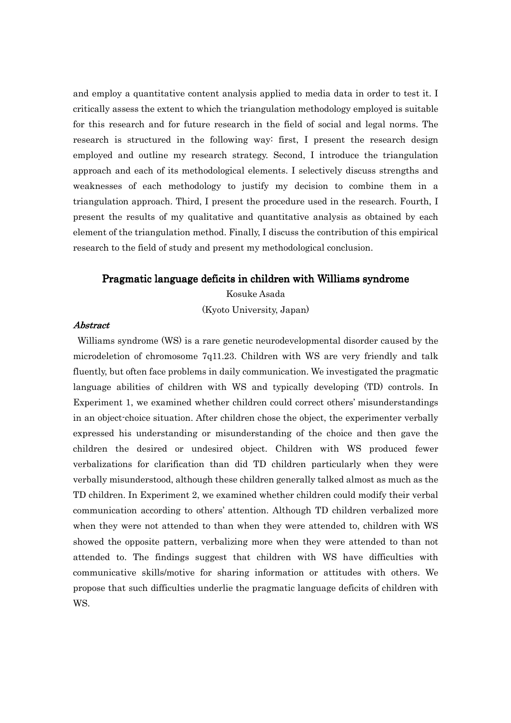and employ a quantitative content analysis applied to media data in order to test it. I critically assess the extent to which the triangulation methodology employed is suitable for this research and for future research in the field of social and legal norms. The research is structured in the following way: first, I present the research design employed and outline my research strategy. Second, I introduce the triangulation approach and each of its methodological elements. I selectively discuss strengths and weaknesses of each methodology to justify my decision to combine them in a triangulation approach. Third, I present the procedure used in the research. Fourth, I present the results of my qualitative and quantitative analysis as obtained by each element of the triangulation method. Finally, I discuss the contribution of this empirical research to the field of study and present my methodological conclusion.

### Pragmatic language deficits in children with Williams syndrome

Kosuke Asada (Kyoto University, Japan)

### Abstract Abstract

Williams syndrome (WS) is a rare genetic neurodevelopmental disorder caused by the microdeletion of chromosome 7q11.23. Children with WS are very friendly and talk fluently, but often face problems in daily communication. We investigated the pragmatic language abilities of children with WS and typically developing (TD) controls. In Experiment 1, we examined whether children could correct others' misunderstandings in an object-choice situation. After children chose the object, the experimenter verbally expressed his understanding or misunderstanding of the choice and then gave the children the desired or undesired object. Children with WS produced fewer verbalizations for clarification than did TD children particularly when they were verbally misunderstood, although these children generally talked almost as much as the TD children. In Experiment 2, we examined whether children could modify their verbal communication according to others' attention. Although TD children verbalized more when they were not attended to than when they were attended to, children with WS showed the opposite pattern, verbalizing more when they were attended to than not attended to. The findings suggest that children with WS have difficulties with communicative skills/motive for sharing information or attitudes with others. We propose that such difficulties underlie the pragmatic language deficits of children with WS.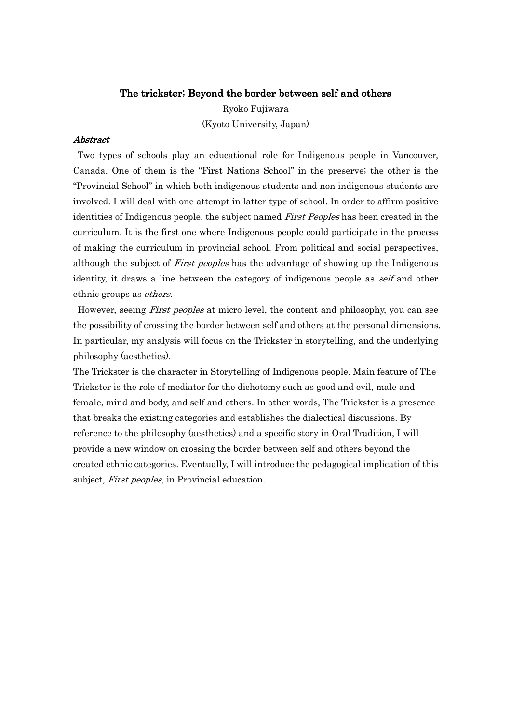### The trickster; Beyond the border between self and others

Ryoko Fujiwara (Kyoto University, Japan)

### **Abstract**

Two types of schools play an educational role for Indigenous people in Vancouver, Canada. One of them is the "First Nations School" in the preserve; the other is the "Provincial School" in which both indigenous students and non indigenous students are involved. I will deal with one attempt in latter type of school. In order to affirm positive identities of Indigenous people, the subject named First Peoples has been created in the curriculum. It is the first one where Indigenous people could participate in the process of making the curriculum in provincial school. From political and social perspectives, although the subject of First peoples has the advantage of showing up the Indigenous identity, it draws a line between the category of indigenous people as *self* and other ethnic groups as *others*.

However, seeing *First peoples* at micro level, the content and philosophy, you can see the possibility of crossing the border between self and others at the personal dimensions. In particular, my analysis will focus on the Trickster in storytelling, and the underlying philosophy (aesthetics).

The Trickster is the character in Storytelling of Indigenous people. Main feature of The Trickster is the role of mediator for the dichotomy such as good and evil, male and female, mind and body, and self and others. In other words, The Trickster is a presence that breaks the existing categories and establishes the dialectical discussions. By reference to the philosophy (aesthetics) and a specific story in Oral Tradition, I will provide a new window on crossing the border between self and others beyond the created ethnic categories. Eventually, I will introduce the pedagogical implication of this subject, First peoples, in Provincial education.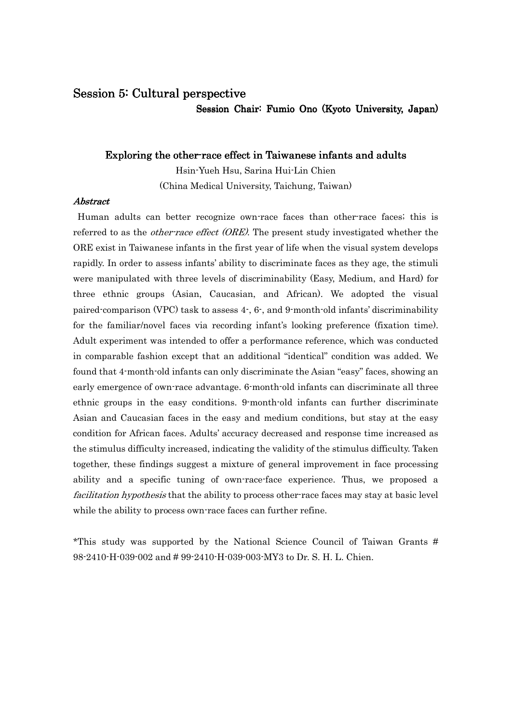# Session 5: Cultural perspective

Session Chair: Fumio Ono (Kyoto University, Japan)

# Exploring the other-race effect in Taiwanese infants and adults

Hsin-Yueh Hsu, Sarina Hui-Lin Chien (China Medical University, Taichung, Taiwan)

# Abstract Abstract

Human adults can better recognize own-race faces than other-race faces; this is referred to as the *other-race effect (ORE)*. The present study investigated whether the ORE exist in Taiwanese infants in the first year of life when the visual system develops rapidly. In order to assess infants' ability to discriminate faces as they age, the stimuli were manipulated with three levels of discriminability (Easy, Medium, and Hard) for three ethnic groups (Asian, Caucasian, and African). We adopted the visual paired-comparison (VPC) task to assess 4-, 6-, and 9-month-old infants' discriminability for the familiar/novel faces via recording infant's looking preference (fixation time). Adult experiment was intended to offer a performance reference, which was conducted in comparable fashion except that an additional "identical" condition was added. We found that 4-month-old infants can only discriminate the Asian "easy" faces, showing an early emergence of own-race advantage. 6-month-old infants can discriminate all three ethnic groups in the easy conditions. 9-month-old infants can further discriminate Asian and Caucasian faces in the easy and medium conditions, but stay at the easy condition for African faces. Adults' accuracy decreased and response time increased as the stimulus difficulty increased, indicating the validity of the stimulus difficulty. Taken together, these findings suggest a mixture of general improvement in face processing ability and a specific tuning of own-race-face experience. Thus, we proposed a facilitation hypothesis that the ability to process other-race faces may stay at basic level while the ability to process own-race faces can further refine.

\*This study was supported by the National Science Council of Taiwan Grants # 98-2410-H-039-002 and # 99-2410-H-039-003-MY3 to Dr. S. H. L. Chien.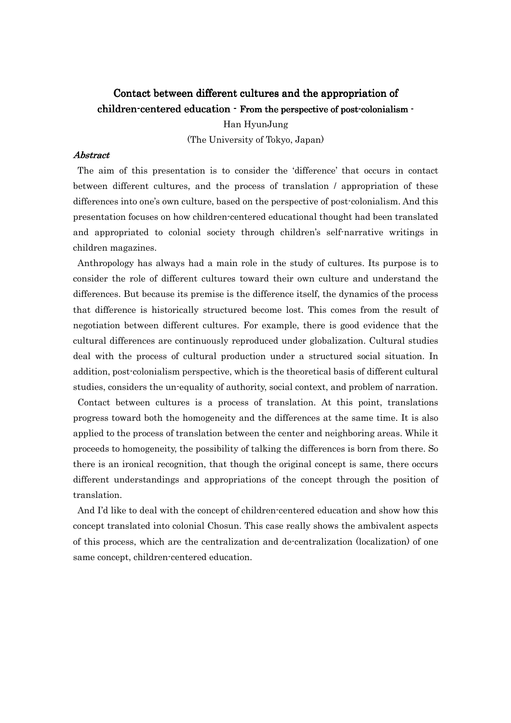# Contact between different cultures and the appropriation of children-centered education - From the perspective of post-colonialism -

Han HyunJung (The University of Tokyo, Japan)

# **Abstract**

The aim of this presentation is to consider the 'difference' that occurs in contact between different cultures, and the process of translation / appropriation of these differences into one's own culture, based on the perspective of post-colonialism. And this presentation focuses on how children-centered educational thought had been translated and appropriated to colonial society through children's self-narrative writings in children magazines.

Anthropology has always had a main role in the study of cultures. Its purpose is to consider the role of different cultures toward their own culture and understand the differences. But because its premise is the difference itself, the dynamics of the process that difference is historically structured become lost. This comes from the result of negotiation between different cultures. For example, there is good evidence that the cultural differences are continuously reproduced under globalization. Cultural studies deal with the process of cultural production under a structured social situation. In addition, post-colonialism perspective, which is the theoretical basis of different cultural studies, considers the un-equality of authority, social context, and problem of narration.

Contact between cultures is a process of translation. At this point, translations progress toward both the homogeneity and the differences at the same time. It is also applied to the process of translation between the center and neighboring areas. While it proceeds to homogeneity, the possibility of talking the differences is born from there. So there is an ironical recognition, that though the original concept is same, there occurs different understandings and appropriations of the concept through the position of translation.

 And I'd like to deal with the concept of children-centered education and show how this concept translated into colonial Chosun. This case really shows the ambivalent aspects of this process, which are the centralization and de-centralization (localization) of one same concept, children-centered education.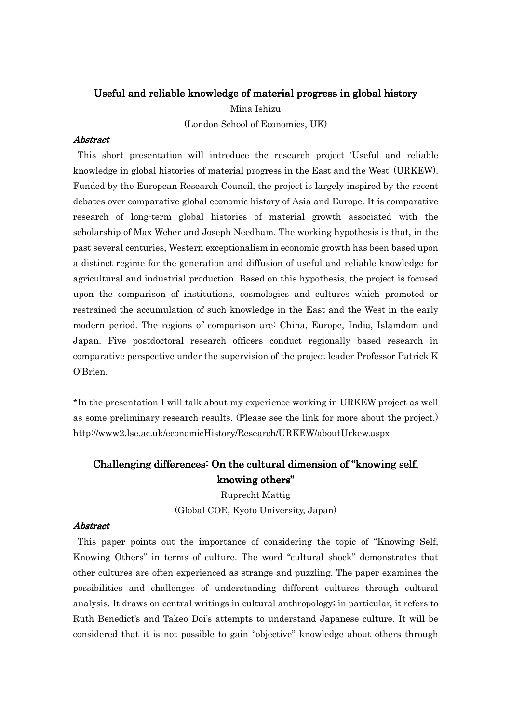# Useful and reliable knowledge of material progress in global history

Mina Ishizu (London School of Economics, UK)

### **Abstract**

This short presentation will introduce the research project 'Useful and reliable knowledge in global histories of material progress in the East and the West' (URKEW). Funded by the European Research Council, the project is largely inspired by the recent debates over comparative global economic history of Asia and Europe. It is comparative research of long-term global histories of material growth associated with the scholarship of Max Weber and Joseph Needham. The working hypothesis is that, in the past several centuries, Western exceptionalism in economic growth has been based upon a distinct regime for the generation and diffusion of useful and reliable knowledge for agricultural and industrial production. Based on this hypothesis, the project is focused upon the comparison of institutions, cosmologies and cultures which promoted or restrained the accumulation of such knowledge in the East and the West in the early modern period. The regions of comparison are: China, Europe, India, Islamdom and Japan. Five postdoctoral research officers conduct regionally based research in comparative perspective under the supervision of the project leader Professor Patrick K O'Brien.

\*In the presentation I will talk about my experience working in URKEW project as well as some preliminary research results. (Please see the link for more about the project.) http://www2.lse.ac.uk/economicHistory/Research/URKEW/aboutUrkew.aspx

# Challenging differences: On the cultural dimension of "knowing self, knowing others"

Ruprecht Mattig (Global COE, Kyoto University, Japan)

### Abstract Abstract

This paper points out the importance of considering the topic of "Knowing Self, Knowing Others" in terms of culture. The word "cultural shock" demonstrates that other cultures are often experienced as strange and puzzling. The paper examines the possibilities and challenges of understanding different cultures through cultural analysis. It draws on central writings in cultural anthropology; in particular, it refers to Ruth Benedict's and Takeo Doi's attempts to understand Japanese culture. It will be considered that it is not possible to gain "objective" knowledge about others through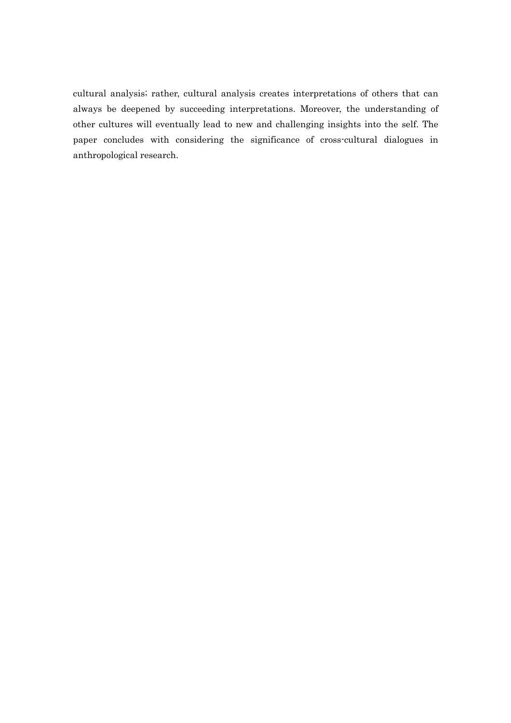cultural analysis; rather, cultural analysis creates interpretations of others that can always be deepened by succeeding interpretations. Moreover, the understanding of other cultures will eventually lead to new and challenging insights into the self. The paper concludes with considering the significance of cross-cultural dialogues in anthropological research.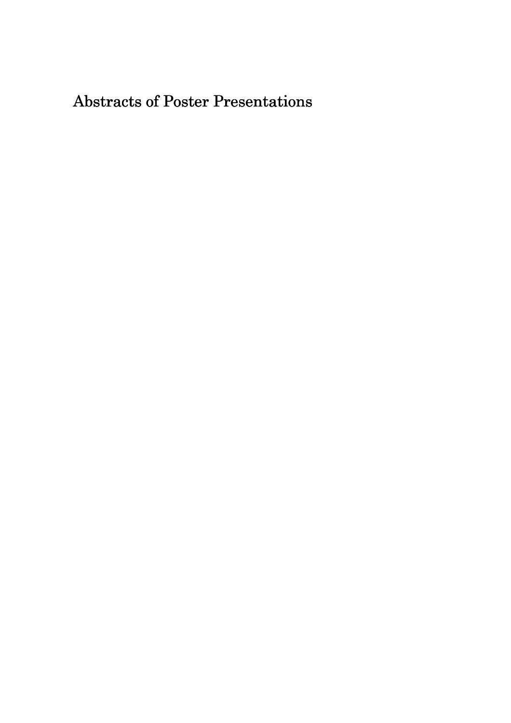# Abstracts of Poster Presentations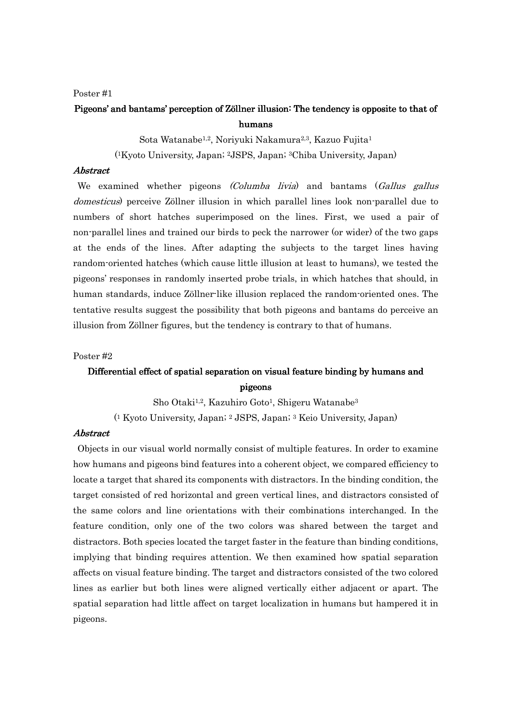# Pigeons' and bantams' perception of Zöllner illusion: The tendency is opposite to that of humans

Sota Watanabe1,2, Noriyuki Nakamura2,3, Kazuo Fujita<sup>1</sup>

( <sup>1</sup>Kyoto University, Japan; 2JSPS, Japan; 3Chiba University, Japan)

### Abstract Abstract

We examined whether pigeons *(Columba livia)* and bantams *(Gallus gallus* domesticus) perceive Zöllner illusion in which parallel lines look non-parallel due to numbers of short hatches superimposed on the lines. First, we used a pair of non-parallel lines and trained our birds to peck the narrower (or wider) of the two gaps at the ends of the lines. After adapting the subjects to the target lines having random-oriented hatches (which cause little illusion at least to humans), we tested the pigeons' responses in randomly inserted probe trials, in which hatches that should, in human standards, induce Zöllner-like illusion replaced the random-oriented ones. The tentative results suggest the possibility that both pigeons and bantams do perceive an illusion from Zöllner figures, but the tendency is contrary to that of humans.

### Poster #2

# Differential effect of spatial separation on visual feature binding by humans and pigeons pigeons

Sho Otaki1,2, Kazuhiro Goto1, Shigeru Watanabe<sup>3</sup>

( <sup>1</sup> Kyoto University, Japan; 2 JSPS, Japan; 3 Keio University, Japan)

### **Abstract**

Objects in our visual world normally consist of multiple features. In order to examine how humans and pigeons bind features into a coherent object, we compared efficiency to locate a target that shared its components with distractors. In the binding condition, the target consisted of red horizontal and green vertical lines, and distractors consisted of the same colors and line orientations with their combinations interchanged. In the feature condition, only one of the two colors was shared between the target and distractors. Both species located the target faster in the feature than binding conditions, implying that binding requires attention. We then examined how spatial separation affects on visual feature binding. The target and distractors consisted of the two colored lines as earlier but both lines were aligned vertically either adjacent or apart. The spatial separation had little affect on target localization in humans but hampered it in pigeons.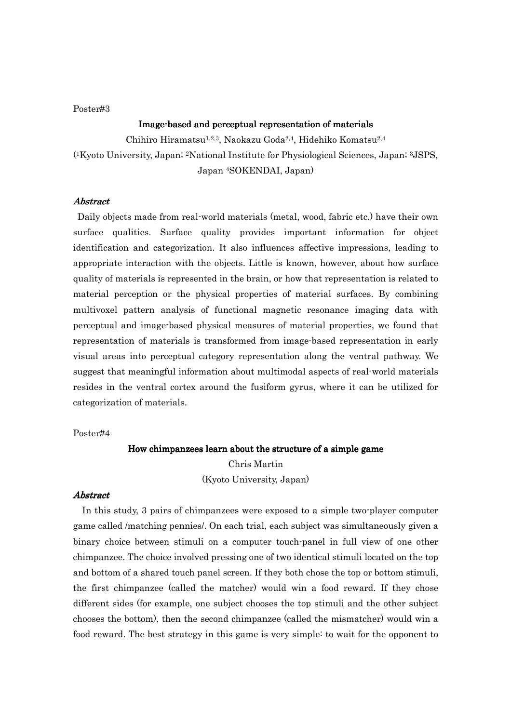### Image-based and perceptual representation of materials

Chihiro Hiramatsu1,2,3, Naokazu Goda2,4, Hidehiko Komatsu2,4

( <sup>1</sup>Kyoto University, Japan; 2National Institute for Physiological Sciences, Japan; 3JSPS,

Japan 4SOKENDAI, Japan)

### Abstract Abstract

Daily objects made from real-world materials (metal, wood, fabric etc.) have their own surface qualities. Surface quality provides important information for object identification and categorization. It also influences affective impressions, leading to appropriate interaction with the objects. Little is known, however, about how surface quality of materials is represented in the brain, or how that representation is related to material perception or the physical properties of material surfaces. By combining multivoxel pattern analysis of functional magnetic resonance imaging data with perceptual and image-based physical measures of material properties, we found that representation of materials is transformed from image-based representation in early visual areas into perceptual category representation along the ventral pathway. We suggest that meaningful information about multimodal aspects of real-world materials resides in the ventral cortex around the fusiform gyrus, where it can be utilized for categorization of materials.

Poster#4

# How chimpanzees learn about the structure of a simple game Chris Martin

(Kyoto University, Japan)

### **Abstract**

In this study, 3 pairs of chimpanzees were exposed to a simple two-player computer game called /matching pennies/. On each trial, each subject was simultaneously given a binary choice between stimuli on a computer touch-panel in full view of one other chimpanzee. The choice involved pressing one of two identical stimuli located on the top and bottom of a shared touch panel screen. If they both chose the top or bottom stimuli, the first chimpanzee (called the matcher) would win a food reward. If they chose different sides (for example, one subject chooses the top stimuli and the other subject chooses the bottom), then the second chimpanzee (called the mismatcher) would win a food reward. The best strategy in this game is very simple: to wait for the opponent to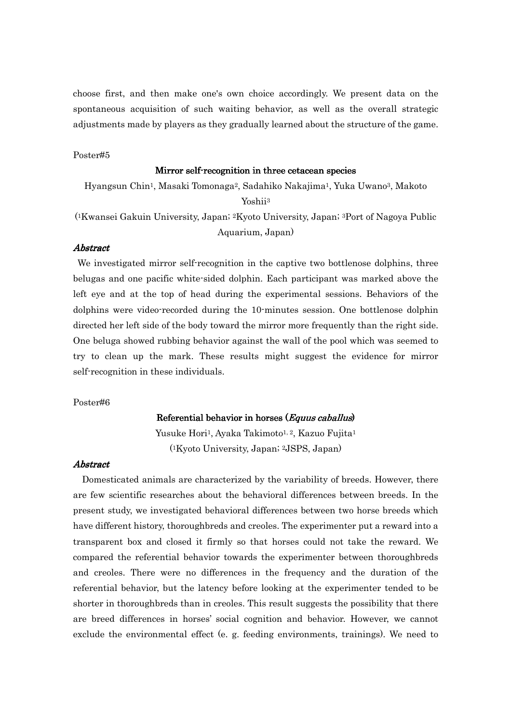choose first, and then make one's own choice accordingly. We present data on the spontaneous acquisition of such waiting behavior, as well as the overall strategic adjustments made by players as they gradually learned about the structure of the game.

#### Poster#5

#### Mirror self-recognition in three cetacean species

Hyangsun Chin1, Masaki Tomonaga2, Sadahiko Nakajima1, Yuka Uwano3, Makoto Yoshii<sup>3</sup>

( <sup>1</sup>Kwansei Gakuin University, Japan; 2Kyoto University, Japan; 3Port of Nagoya Public Aquarium, Japan)

### Abstract Abstract

We investigated mirror self-recognition in the captive two bottlenose dolphins, three belugas and one pacific white-sided dolphin. Each participant was marked above the left eye and at the top of head during the experimental sessions. Behaviors of the dolphins were video-recorded during the 10-minutes session. One bottlenose dolphin directed her left side of the body toward the mirror more frequently than the right side. One beluga showed rubbing behavior against the wall of the pool which was seemed to try to clean up the mark. These results might suggest the evidence for mirror self-recognition in these individuals.

#### Poster#6

### Referential behavior in horses  $(Equus caballus)$

Yusuke Hori<sup>1</sup>, Ayaka Takimoto<sup>1, 2</sup>, Kazuo Fujita<sup>1</sup> ( <sup>1</sup>Kyoto University, Japan; 2JSPS, Japan)

### Abstract Abstract

Domesticated animals are characterized by the variability of breeds. However, there are few scientific researches about the behavioral differences between breeds. In the present study, we investigated behavioral differences between two horse breeds which have different history, thoroughbreds and creoles. The experimenter put a reward into a transparent box and closed it firmly so that horses could not take the reward. We compared the referential behavior towards the experimenter between thoroughbreds and creoles. There were no differences in the frequency and the duration of the referential behavior, but the latency before looking at the experimenter tended to be shorter in thoroughbreds than in creoles. This result suggests the possibility that there are breed differences in horses' social cognition and behavior. However, we cannot exclude the environmental effect (e. g. feeding environments, trainings). We need to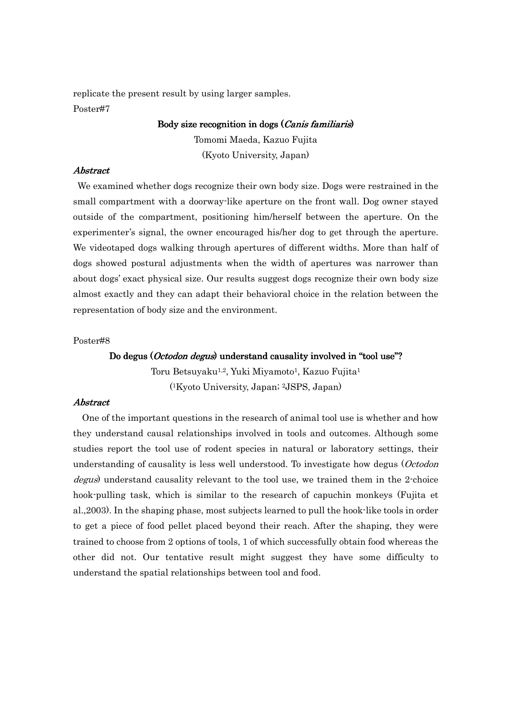replicate the present result by using larger samples. Poster#7

#### Body size recognition in dogs  $(Canis familiaris)$

Tomomi Maeda, Kazuo Fujita (Kyoto University, Japan)

### Abstract Abstract

We examined whether dogs recognize their own body size. Dogs were restrained in the small compartment with a doorway-like aperture on the front wall. Dog owner stayed outside of the compartment, positioning him/herself between the aperture. On the experimenter's signal, the owner encouraged his/her dog to get through the aperture. We videotaped dogs walking through apertures of different widths. More than half of dogs showed postural adjustments when the width of apertures was narrower than about dogs' exact physical size. Our results suggest dogs recognize their own body size almost exactly and they can adapt their behavioral choice in the relation between the representation of body size and the environment.

### Poster#8

### Do degus (*Octodon degus*) understand causality involved in "tool use"?

Toru Betsuyaku<sup>1,2</sup>, Yuki Miyamoto<sup>1</sup>, Kazuo Fujita<sup>1</sup> ( <sup>1</sup>Kyoto University, Japan; 2JSPS, Japan)

### **Abstract**

One of the important questions in the research of animal tool use is whether and how they understand causal relationships involved in tools and outcomes. Although some studies report the tool use of rodent species in natural or laboratory settings, their understanding of causality is less well understood. To investigate how degus (Octodon degus) understand causality relevant to the tool use, we trained them in the 2-choice hook-pulling task, which is similar to the research of capuchin monkeys (Fujita et al.,2003). In the shaping phase, most subjects learned to pull the hook-like tools in order to get a piece of food pellet placed beyond their reach. After the shaping, they were trained to choose from 2 options of tools, 1 of which successfully obtain food whereas the other did not. Our tentative result might suggest they have some difficulty to understand the spatial relationships between tool and food.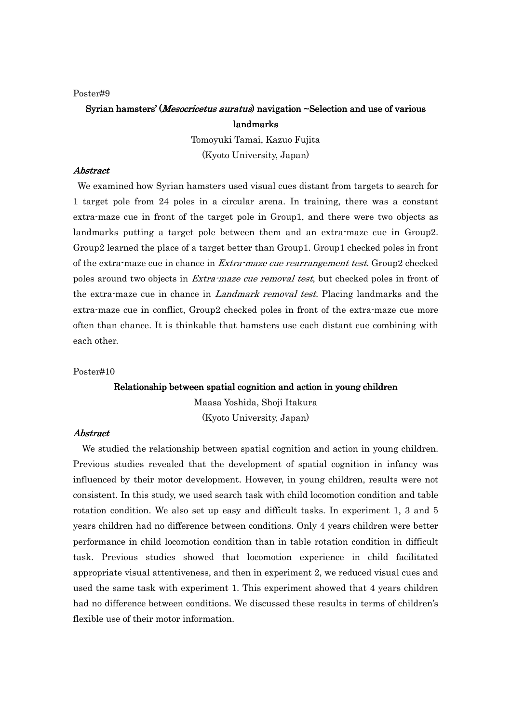# Syrian hamsters' (*Mesocricetus auratus*) navigation ~Selection and use of various landmarks landmarks

Tomoyuki Tamai, Kazuo Fujita (Kyoto University, Japan)

### Abstract Abstract

 We examined how Syrian hamsters used visual cues distant from targets to search for 1 target pole from 24 poles in a circular arena. In training, there was a constant extra-maze cue in front of the target pole in Group1, and there were two objects as landmarks putting a target pole between them and an extra-maze cue in Group2. Group2 learned the place of a target better than Group1. Group1 checked poles in front of the extra-maze cue in chance in Extra-maze cue rearrangement test. Group2 checked poles around two objects in *Extra-maze cue removal test*, but checked poles in front of the extra-maze cue in chance in *Landmark removal test*. Placing landmarks and the extra-maze cue in conflict, Group2 checked poles in front of the extra-maze cue more often than chance. It is thinkable that hamsters use each distant cue combining with each other.

### Poster#10

### Relationship between spatial cognition and action in young children

Maasa Yoshida, Shoji Itakura (Kyoto University, Japan)

#### **Abstract**

We studied the relationship between spatial cognition and action in young children. Previous studies revealed that the development of spatial cognition in infancy was influenced by their motor development. However, in young children, results were not consistent. In this study, we used search task with child locomotion condition and table rotation condition. We also set up easy and difficult tasks. In experiment 1, 3 and 5 years children had no difference between conditions. Only 4 years children were better performance in child locomotion condition than in table rotation condition in difficult task. Previous studies showed that locomotion experience in child facilitated appropriate visual attentiveness, and then in experiment 2, we reduced visual cues and used the same task with experiment 1. This experiment showed that 4 years children had no difference between conditions. We discussed these results in terms of children's flexible use of their motor information.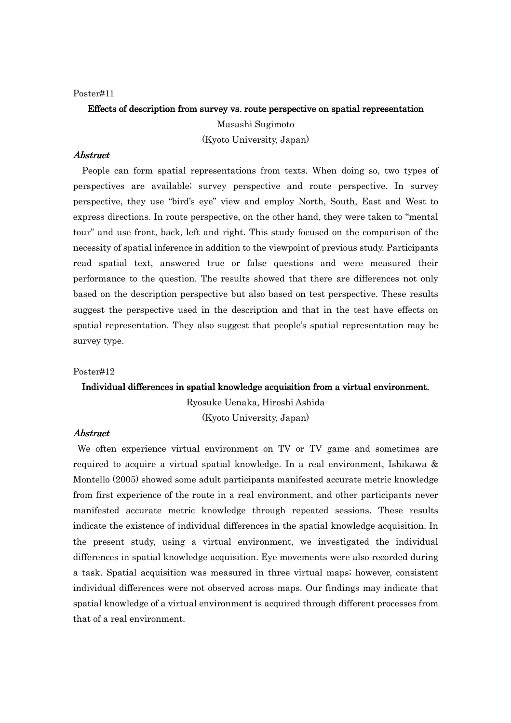# Effects of description from survey vs. route perspective on spatial representation

Masashi Sugimoto (Kyoto University, Japan)

# Abstract Abstract

People can form spatial representations from texts. When doing so, two types of perspectives are available; survey perspective and route perspective. In survey perspective, they use "bird's eye" view and employ North, South, East and West to express directions. In route perspective, on the other hand, they were taken to "mental tour" and use front, back, left and right. This study focused on the comparison of the necessity of spatial inference in addition to the viewpoint of previous study. Participants read spatial text, answered true or false questions and were measured their performance to the question. The results showed that there are differences not only based on the description perspective but also based on test perspective. These results suggest the perspective used in the description and that in the test have effects on spatial representation. They also suggest that people's spatial representation may be survey type.

### Poster#12

### Individual differences in spatial knowledge acquisition from a virtual environment.

Ryosuke Uenaka, Hiroshi Ashida (Kyoto University, Japan)

#### **Abstract**

We often experience virtual environment on TV or TV game and sometimes are required to acquire a virtual spatial knowledge. In a real environment, Ishikawa & Montello (2005) showed some adult participants manifested accurate metric knowledge from first experience of the route in a real environment, and other participants never manifested accurate metric knowledge through repeated sessions. These results indicate the existence of individual differences in the spatial knowledge acquisition. In the present study, using a virtual environment, we investigated the individual differences in spatial knowledge acquisition. Eye movements were also recorded during a task. Spatial acquisition was measured in three virtual maps; however, consistent individual differences were not observed across maps. Our findings may indicate that spatial knowledge of a virtual environment is acquired through different processes from that of a real environment.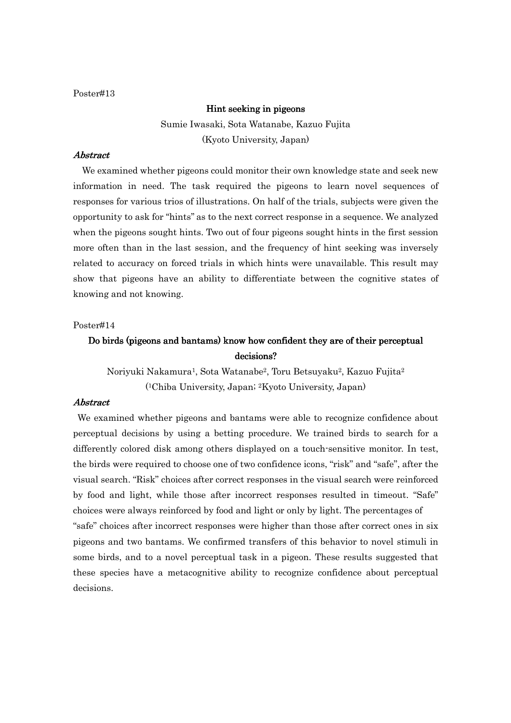### Hint seeking in pigeons

Sumie Iwasaki, Sota Watanabe, Kazuo Fujita (Kyoto University, Japan)

# Abstract Abstract

We examined whether pigeons could monitor their own knowledge state and seek new information in need. The task required the pigeons to learn novel sequences of responses for various trios of illustrations. On half of the trials, subjects were given the opportunity to ask for ''hints'' as to the next correct response in a sequence. We analyzed when the pigeons sought hints. Two out of four pigeons sought hints in the first session more often than in the last session, and the frequency of hint seeking was inversely related to accuracy on forced trials in which hints were unavailable. This result may show that pigeons have an ability to differentiate between the cognitive states of knowing and not knowing.

### Poster#14

# Do birds (pigeons and bantams) know how confident they are of their perceptual decisions?

Noriyuki Nakamura1, Sota Watanabe2, Toru Betsuyaku2, Kazuo Fujita<sup>2</sup> ( <sup>1</sup>Chiba University, Japan; 2Kyoto University, Japan)

### Abstract Abstract

We examined whether pigeons and bantams were able to recognize confidence about perceptual decisions by using a betting procedure. We trained birds to search for a differently colored disk among others displayed on a touch-sensitive monitor. In test, the birds were required to choose one of two confidence icons, "risk" and "safe", after the visual search. "Risk" choices after correct responses in the visual search were reinforced by food and light, while those after incorrect responses resulted in timeout. "Safe" choices were always reinforced by food and light or only by light. The percentages of "safe" choices after incorrect responses were higher than those after correct ones in six pigeons and two bantams. We confirmed transfers of this behavior to novel stimuli in some birds, and to a novel perceptual task in a pigeon. These results suggested that these species have a metacognitive ability to recognize confidence about perceptual decisions.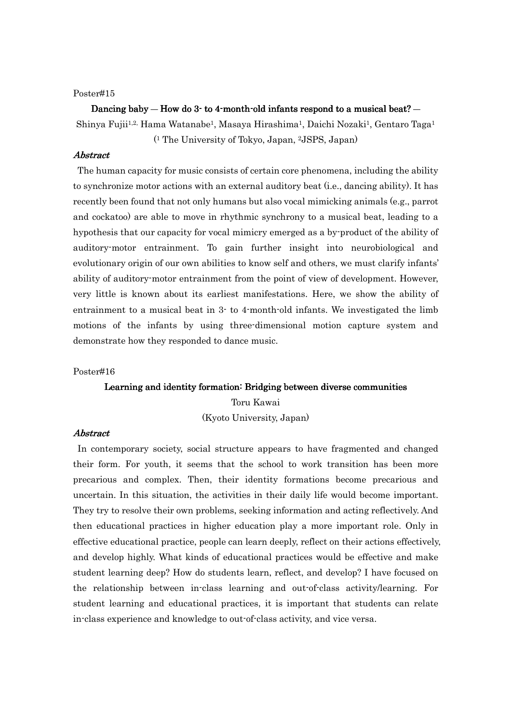#### Dancing baby — How do 3-to 4-month-old infants respond to a musical beat? —

Shinya Fujii<sup>1,2,</sup> Hama Watanabe<sup>1</sup>, Masaya Hirashima<sup>1</sup>, Daichi Nozaki<sup>1</sup>, Gentaro Taga<sup>1</sup> ( <sup>1</sup> The University of Tokyo, Japan, 2JSPS, Japan)

### **Abstract**

The human capacity for music consists of certain core phenomena, including the ability to synchronize motor actions with an external auditory beat (i.e., dancing ability). It has recently been found that not only humans but also vocal mimicking animals (e.g., parrot and cockatoo) are able to move in rhythmic synchrony to a musical beat, leading to a hypothesis that our capacity for vocal mimicry emerged as a by-product of the ability of auditory-motor entrainment. To gain further insight into neurobiological and evolutionary origin of our own abilities to know self and others, we must clarify infants' ability of auditory-motor entrainment from the point of view of development. However, very little is known about its earliest manifestations. Here, we show the ability of entrainment to a musical beat in 3- to 4-month-old infants. We investigated the limb motions of the infants by using three-dimensional motion capture system and demonstrate how they responded to dance music.

### Poster#16

#### Learning and identity formation: Bridging between diverse communities

Toru Kawai (Kyoto University, Japan)

#### **Abstract**

In contemporary society, social structure appears to have fragmented and changed their form. For youth, it seems that the school to work transition has been more precarious and complex. Then, their identity formations become precarious and uncertain. In this situation, the activities in their daily life would become important. They try to resolve their own problems, seeking information and acting reflectively. And then educational practices in higher education play a more important role. Only in effective educational practice, people can learn deeply, reflect on their actions effectively, and develop highly. What kinds of educational practices would be effective and make student learning deep? How do students learn, reflect, and develop? I have focused on the relationship between in-class learning and out-of-class activity/learning. For student learning and educational practices, it is important that students can relate in-class experience and knowledge to out-of-class activity, and vice versa.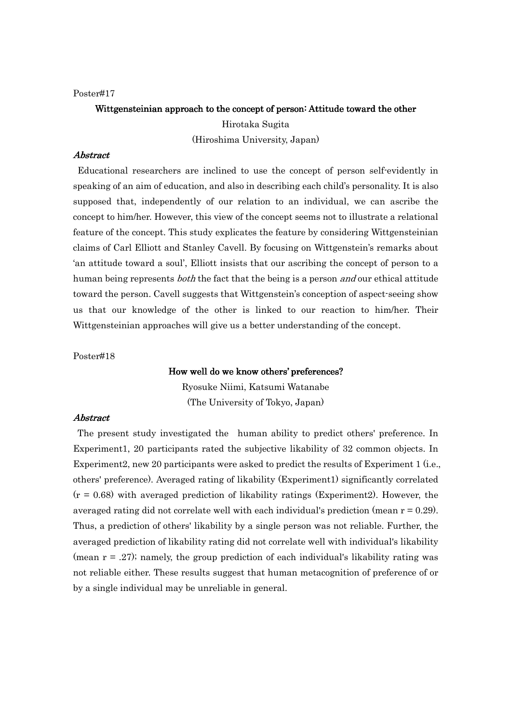# Wittgensteinian approach to the concept of person: Attitude toward the other Hirotaka Sugita (Hiroshima University, Japan)

# **Abstract**

Educational researchers are inclined to use the concept of person self-evidently in speaking of an aim of education, and also in describing each child's personality. It is also supposed that, independently of our relation to an individual, we can ascribe the concept to him/her. However, this view of the concept seems not to illustrate a relational feature of the concept. This study explicates the feature by considering Wittgensteinian claims of Carl Elliott and Stanley Cavell. By focusing on Wittgenstein's remarks about 'an attitude toward a soul', Elliott insists that our ascribing the concept of person to a human being represents *both* the fact that the being is a person *and* our ethical attitude toward the person. Cavell suggests that Wittgenstein's conception of aspect-seeing show us that our knowledge of the other is linked to our reaction to him/her. Their Wittgensteinian approaches will give us a better understanding of the concept.

Poster#18

### How well do we know others' preferences?

Ryosuke Niimi, Katsumi Watanabe (The University of Tokyo, Japan)

#### Abstract Abstract

The present study investigated the human ability to predict others' preference. In Experiment1, 20 participants rated the subjective likability of 32 common objects. In Experiment2, new 20 participants were asked to predict the results of Experiment 1 (i.e., others' preference). Averaged rating of likability (Experiment1) significantly correlated  $(r = 0.68)$  with averaged prediction of likability ratings (Experiment2). However, the averaged rating did not correlate well with each individual's prediction (mean  $r = 0.29$ ). Thus, a prediction of others' likability by a single person was not reliable. Further, the averaged prediction of likability rating did not correlate well with individual's likability (mean  $r = .27$ ); namely, the group prediction of each individual's likability rating was not reliable either. These results suggest that human metacognition of preference of or by a single individual may be unreliable in general.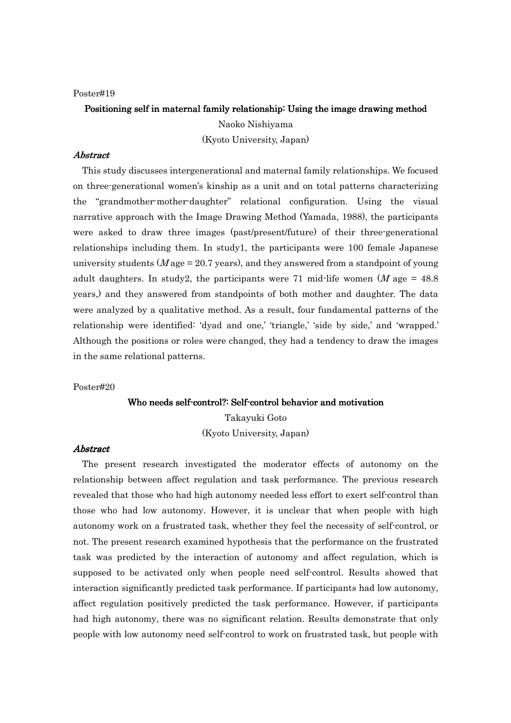# Positioning self in maternal family relationship: Using the image drawing method

Naoko Nishiyama (Kyoto University, Japan)

# Abstract Abstract

This study discusses intergenerational and maternal family relationships. We focused on three-generational women's kinship as a unit and on total patterns characterizing the "grandmother-mother-daughter" relational configuration. Using the visual narrative approach with the Image Drawing Method (Yamada, 1988), the participants were asked to draw three images (past/present/future) of their three-generational relationships including them. In study1, the participants were 100 female Japanese university students ( $M$  age = 20.7 years), and they answered from a standpoint of young adult daughters. In study2, the participants were 71 mid-life women  $(M \text{ age} = 48.8$ years,) and they answered from standpoints of both mother and daughter. The data were analyzed by a qualitative method. As a result, four fundamental patterns of the relationship were identified: 'dyad and one,' 'triangle,' 'side by side,' and 'wrapped.' Although the positions or roles were changed, they had a tendency to draw the images in the same relational patterns.

#### Poster#20

#### Who needs self-control?: Self-control behavior and motivation

Takayuki Goto (Kyoto University, Japan)

### **Abstract**

The present research investigated the moderator effects of autonomy on the relationship between affect regulation and task performance. The previous research revealed that those who had high autonomy needed less effort to exert self-control than those who had low autonomy. However, it is unclear that when people with high autonomy work on a frustrated task, whether they feel the necessity of self-control, or not. The present research examined hypothesis that the performance on the frustrated task was predicted by the interaction of autonomy and affect regulation, which is supposed to be activated only when people need self-control. Results showed that interaction significantly predicted task performance. If participants had low autonomy, affect regulation positively predicted the task performance. However, if participants had high autonomy, there was no significant relation. Results demonstrate that only people with low autonomy need self-control to work on frustrated task, but people with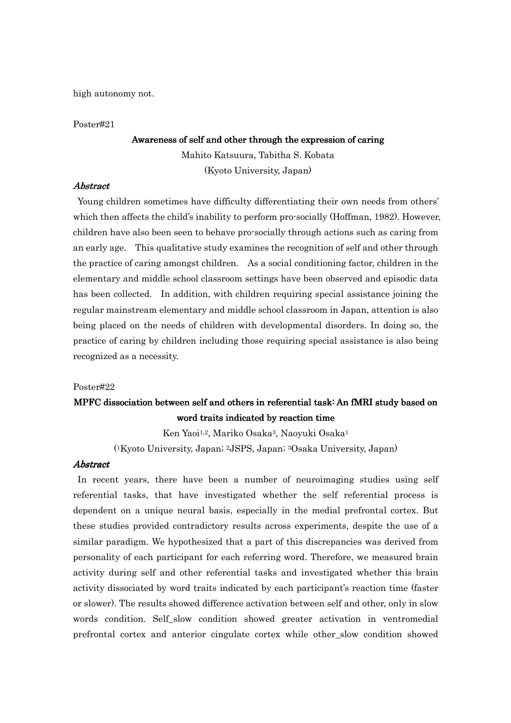high autonomy not.

#### Poster#21

### Awareness of self and other through the expression of caring

Mahito Katsuura, Tabitha S. Kobata (Kyoto University, Japan)

### Abstract Abstract

Young children sometimes have difficulty differentiating their own needs from others' which then affects the child's inability to perform pro-socially (Hoffman, 1982). However, children have also been seen to behave pro-socially through actions such as caring from an early age. This qualitative study examines the recognition of self and other through the practice of caring amongst children. As a social conditioning factor, children in the elementary and middle school classroom settings have been observed and episodic data has been collected. In addition, with children requiring special assistance joining the regular mainstream elementary and middle school classroom in Japan, attention is also being placed on the needs of children with developmental disorders. In doing so, the practice of caring by children including those requiring special assistance is also being recognized as a necessity.

#### Poster#22

# MPFC dissociation between self and others in referential task: An fMRI study based on word traits indicated by reaction time

Ken Yaoi<sup>1,2</sup>, Mariko Osaka<sup>3</sup>, Naoyuki Osaka<sup>1</sup>

( <sup>1</sup>Kyoto University, Japan; 2JSPS, Japan; 3Osaka University, Japan)

### Abstract Abstract

In recent years, there have been a number of neuroimaging studies using self referential tasks, that have investigated whether the self referential process is dependent on a unique neural basis, especially in the medial prefrontal cortex. But these studies provided contradictory results across experiments, despite the use of a similar paradigm. We hypothesized that a part of this discrepancies was derived from personality of each participant for each referring word. Therefore, we measured brain activity during self and other referential tasks and investigated whether this brain activity dissociated by word traits indicated by each participant's reaction time (faster or slower). The results showed difference activation between self and other, only in slow words condition. Self slow condition showed greater activation in ventromedial prefrontal cortex and anterior cingulate cortex while other\_slow condition showed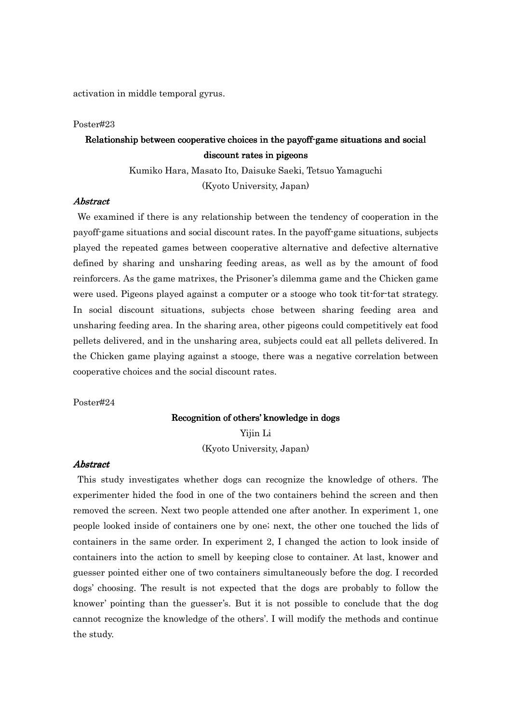activation in middle temporal gyrus.

### Poster#23

# Relationship between cooperative choices in the payoff-game situations and social discount rates in pigeons

Kumiko Hara, Masato Ito, Daisuke Saeki, Tetsuo Yamaguchi (Kyoto University, Japan)

# Abstract Abstract

We examined if there is any relationship between the tendency of cooperation in the payoff-game situations and social discount rates. In the payoff-game situations, subjects played the repeated games between cooperative alternative and defective alternative defined by sharing and unsharing feeding areas, as well as by the amount of food reinforcers. As the game matrixes, the Prisoner's dilemma game and the Chicken game were used. Pigeons played against a computer or a stooge who took tit-for-tat strategy. In social discount situations, subjects chose between sharing feeding area and unsharing feeding area. In the sharing area, other pigeons could competitively eat food pellets delivered, and in the unsharing area, subjects could eat all pellets delivered. In the Chicken game playing against a stooge, there was a negative correlation between cooperative choices and the social discount rates.

### Poster#24

#### Recognition of others' knowledge in dogs

Yijin Li (Kyoto University, Japan)

### Abstract Abstract

This study investigates whether dogs can recognize the knowledge of others. The experimenter hided the food in one of the two containers behind the screen and then removed the screen. Next two people attended one after another. In experiment 1, one people looked inside of containers one by one; next, the other one touched the lids of containers in the same order. In experiment 2, I changed the action to look inside of containers into the action to smell by keeping close to container. At last, knower and guesser pointed either one of two containers simultaneously before the dog. I recorded dogs' choosing. The result is not expected that the dogs are probably to follow the knower' pointing than the guesser's. But it is not possible to conclude that the dog cannot recognize the knowledge of the others'. I will modify the methods and continue the study.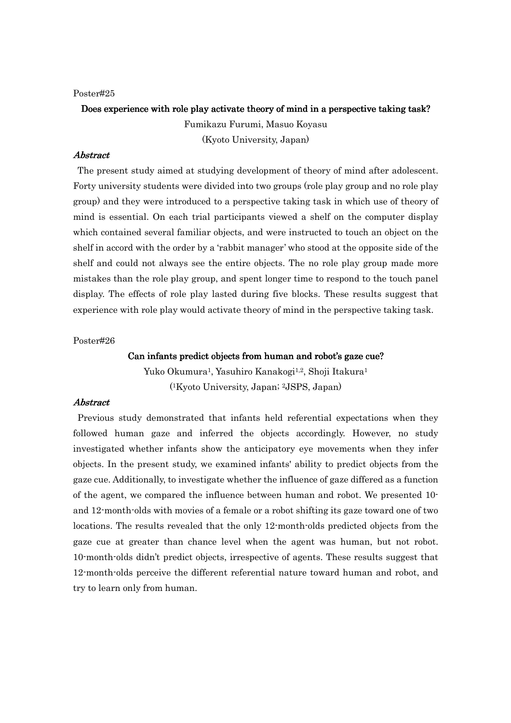# Does experience with role play activate theory of mind in a perspective taking task? Fumikazu Furumi, Masuo Koyasu (Kyoto University, Japan)

# Abstract Abstract

The present study aimed at studying development of theory of mind after adolescent. Forty university students were divided into two groups (role play group and no role play group) and they were introduced to a perspective taking task in which use of theory of mind is essential. On each trial participants viewed a shelf on the computer display which contained several familiar objects, and were instructed to touch an object on the shelf in accord with the order by a 'rabbit manager' who stood at the opposite side of the shelf and could not always see the entire objects. The no role play group made more mistakes than the role play group, and spent longer time to respond to the touch panel display. The effects of role play lasted during five blocks. These results suggest that experience with role play would activate theory of mind in the perspective taking task.

#### Poster#26

### Can infants predict objects from human and robot's gaze cue?

Yuko Okumura<sup>1</sup>, Yasuhiro Kanakogi<sup>1,2</sup>, Shoji Itakura<sup>1</sup> ( <sup>1</sup>Kyoto University, Japan; 2JSPS, Japan)

### Abstract Abstract

Previous study demonstrated that infants held referential expectations when they followed human gaze and inferred the objects accordingly. However, no study investigated whether infants show the anticipatory eye movements when they infer objects. In the present study, we examined infants' ability to predict objects from the gaze cue. Additionally, to investigate whether the influence of gaze differed as a function of the agent, we compared the influence between human and robot. We presented 10 and 12-month-olds with movies of a female or a robot shifting its gaze toward one of two locations. The results revealed that the only 12-month-olds predicted objects from the gaze cue at greater than chance level when the agent was human, but not robot. 10-month-olds didn't predict objects, irrespective of agents. These results suggest that 12-month-olds perceive the different referential nature toward human and robot, and try to learn only from human.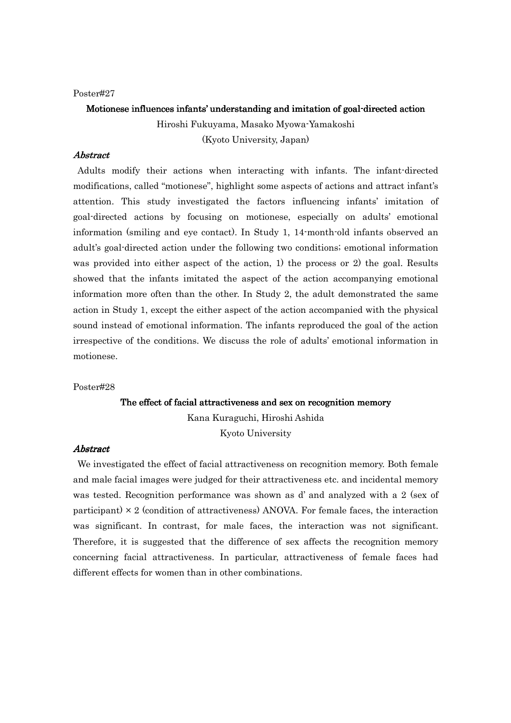Motionese influences infants' understanding and imitation of goal-directed action Hiroshi Fukuyama, Masako Myowa-Yamakoshi (Kyoto University, Japan)

# **Abstract**

Adults modify their actions when interacting with infants. The infant-directed modifications, called "motionese", highlight some aspects of actions and attract infant's attention. This study investigated the factors influencing infants' imitation of goal-directed actions by focusing on motionese, especially on adults' emotional information (smiling and eye contact). In Study 1, 14-month-old infants observed an adult's goal-directed action under the following two conditions; emotional information was provided into either aspect of the action, 1) the process or 2) the goal. Results showed that the infants imitated the aspect of the action accompanying emotional information more often than the other. In Study 2, the adult demonstrated the same action in Study 1, except the either aspect of the action accompanied with the physical sound instead of emotional information. The infants reproduced the goal of the action irrespective of the conditions. We discuss the role of adults' emotional information in motionese.

#### Poster#28

### The effect of facial attractiveness and sex on recognition memory

Kana Kuraguchi, Hiroshi Ashida Kyoto University

### **Abstract**

We investigated the effect of facial attractiveness on recognition memory. Both female and male facial images were judged for their attractiveness etc. and incidental memory was tested. Recognition performance was shown as d' and analyzed with a 2 (sex of participant)  $\times$  2 (condition of attractiveness) ANOVA. For female faces, the interaction was significant. In contrast, for male faces, the interaction was not significant. Therefore, it is suggested that the difference of sex affects the recognition memory concerning facial attractiveness. In particular, attractiveness of female faces had different effects for women than in other combinations.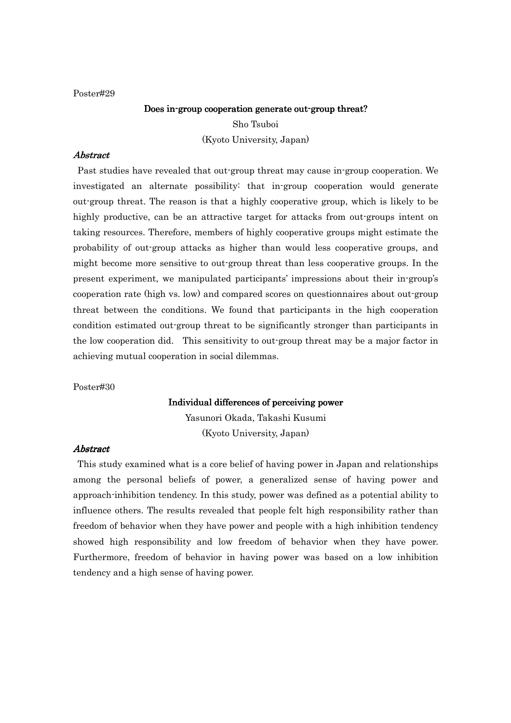# Does in-group cooperation generate out-group threat? Sho Tsuboi (Kyoto University, Japan)

# **Abstract**

Past studies have revealed that out-group threat may cause in-group cooperation. We investigated an alternate possibility: that in-group cooperation would generate out-group threat. The reason is that a highly cooperative group, which is likely to be highly productive, can be an attractive target for attacks from out-groups intent on taking resources. Therefore, members of highly cooperative groups might estimate the probability of out-group attacks as higher than would less cooperative groups, and might become more sensitive to out-group threat than less cooperative groups. In the present experiment, we manipulated participants' impressions about their in-group's cooperation rate (high vs. low) and compared scores on questionnaires about out-group threat between the conditions. We found that participants in the high cooperation condition estimated out-group threat to be significantly stronger than participants in the low cooperation did. This sensitivity to out-group threat may be a major factor in achieving mutual cooperation in social dilemmas.

#### Poster#30

### Individual differences of perceiving power

Yasunori Okada, Takashi Kusumi (Kyoto University, Japan)

### **Abstract**

This study examined what is a core belief of having power in Japan and relationships among the personal beliefs of power, a generalized sense of having power and approach-inhibition tendency. In this study, power was defined as a potential ability to influence others. The results revealed that people felt high responsibility rather than freedom of behavior when they have power and people with a high inhibition tendency showed high responsibility and low freedom of behavior when they have power. Furthermore, freedom of behavior in having power was based on a low inhibition tendency and a high sense of having power.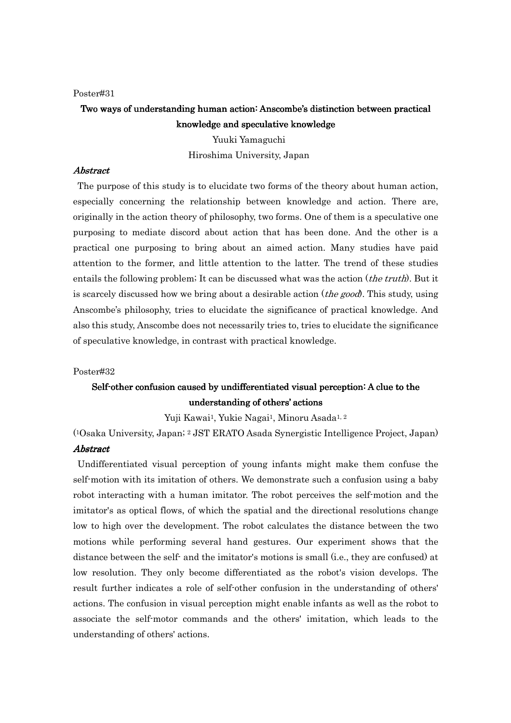# Two ways of understanding human action: Anscombe's distinction between practical knowledge and speculative knowledge

Yuuki Yamaguchi Hiroshima University, Japan

#### Abstract Abstract

The purpose of this study is to elucidate two forms of the theory about human action, especially concerning the relationship between knowledge and action. There are, originally in the action theory of philosophy, two forms. One of them is a speculative one purposing to mediate discord about action that has been done. And the other is a practical one purposing to bring about an aimed action. Many studies have paid attention to the former, and little attention to the latter. The trend of these studies entails the following problem; It can be discussed what was the action (*the truth*). But it is scarcely discussed how we bring about a desirable action (*the good*). This study, using Anscombe's philosophy, tries to elucidate the significance of practical knowledge. And also this study, Anscombe does not necessarily tries to, tries to elucidate the significance of speculative knowledge, in contrast with practical knowledge.

### Poster#32

# Self-other confusion caused by undifferentiated visual perception: A clue to the understanding of others' actions

Yuji Kawai<sup>1</sup>, Yukie Nagai<sup>1</sup>, Minoru Asada<sup>1, 2</sup>

( <sup>1</sup>Osaka University, Japan; 2 JST ERATO Asada Synergistic Intelligence Project, Japan) **Abstract** 

Undifferentiated visual perception of young infants might make them confuse the self-motion with its imitation of others. We demonstrate such a confusion using a baby robot interacting with a human imitator. The robot perceives the self-motion and the imitator's as optical flows, of which the spatial and the directional resolutions change low to high over the development. The robot calculates the distance between the two motions while performing several hand gestures. Our experiment shows that the distance between the self- and the imitator's motions is small (i.e., they are confused) at low resolution. They only become differentiated as the robot's vision develops. The result further indicates a role of self-other confusion in the understanding of others' actions. The confusion in visual perception might enable infants as well as the robot to associate the self-motor commands and the others' imitation, which leads to the understanding of others' actions.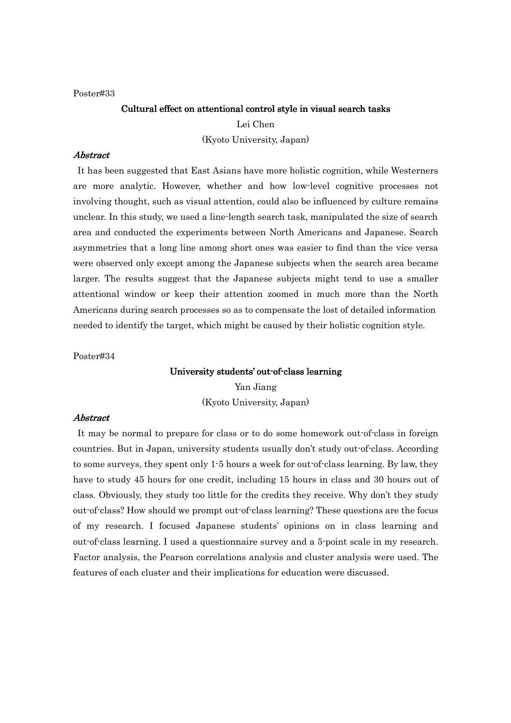### Cultural effect on attentional control style in visual search tasks

Lei Chen

(Kyoto University, Japan)

# **Abstract**

It has been suggested that East Asians have more holistic cognition, while Westerners are more analytic. However, whether and how low-level cognitive processes not involving thought, such as visual attention, could also be influenced by culture remains unclear. In this study, we used a line-length search task, manipulated the size of search area and conducted the experiments between North Americans and Japanese. Search asymmetries that a long line among short ones was easier to find than the vice versa were observed only except among the Japanese subjects when the search area became larger. The results suggest that the Japanese subjects might tend to use a smaller attentional window or keep their attention zoomed in much more than the North Americans during search processes so as to compensate the lost of detailed information needed to identify the target, which might be caused by their holistic cognition style.

Poster#34

### University students' out-of-class learning

Yan Jiang (Kyoto University, Japan)

#### Abstract Abstract

It may be normal to prepare for class or to do some homework out-of-class in foreign countries. But in Japan, university students usually don't study out-of-class. According to some surveys, they spent only 1-5 hours a week for out-of-class learning. By law, they have to study 45 hours for one credit, including 15 hours in class and 30 hours out of class. Obviously, they study too little for the credits they receive. Why don't they study out-of-class? How should we prompt out-of-class learning? These questions are the focus of my research. I focused Japanese students' opinions on in class learning and out-of-class learning. I used a questionnaire survey and a 5-point scale in my research. Factor analysis, the Pearson correlations analysis and cluster analysis were used. The features of each cluster and their implications for education were discussed.